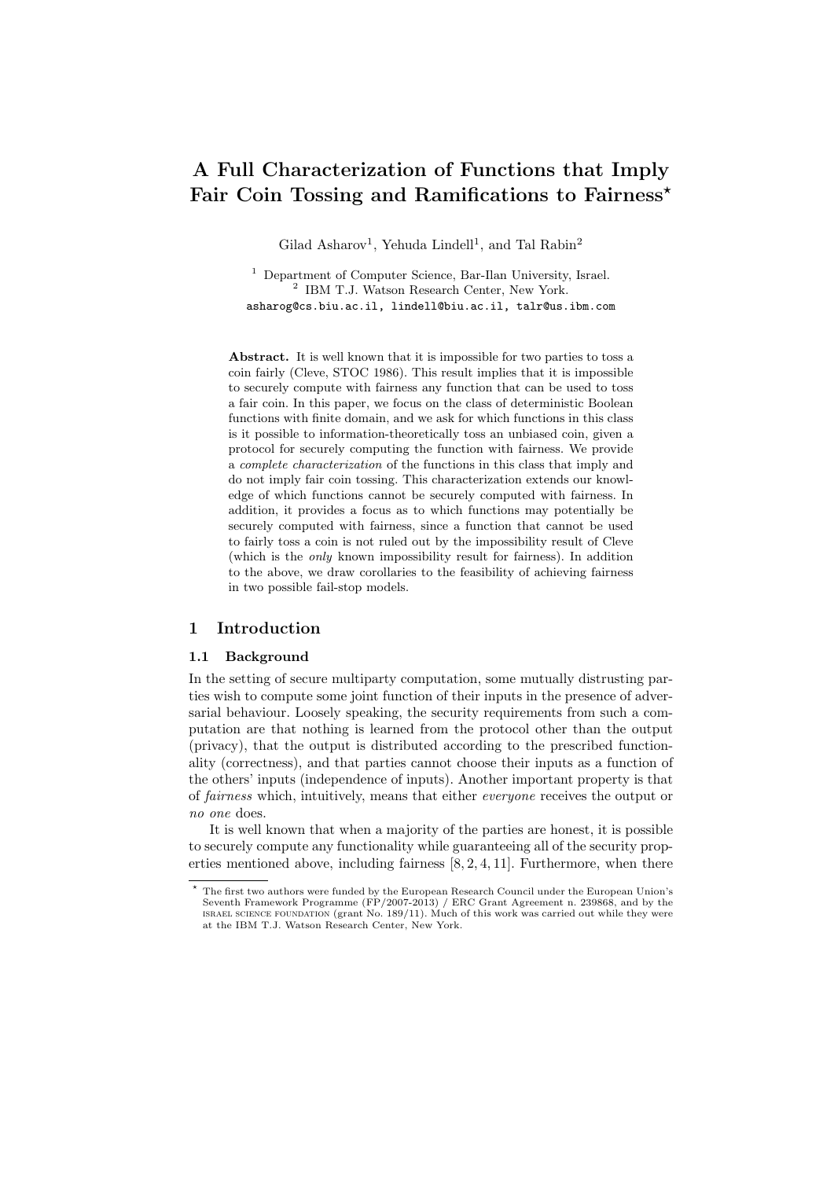# A Full Characterization of Functions that Imply Fair Coin Tossing and Ramifications to Fairness<sup>\*</sup>

Gilad Asharov<sup>1</sup>, Yehuda Lindell<sup>1</sup>, and Tal Rabin<sup>2</sup>

<sup>1</sup> Department of Computer Science, Bar-Ilan University, Israel. 2 IBM T.J. Watson Research Center, New York. asharog@cs.biu.ac.il, lindell@biu.ac.il, talr@us.ibm.com

Abstract. It is well known that it is impossible for two parties to toss a coin fairly (Cleve, STOC 1986). This result implies that it is impossible to securely compute with fairness any function that can be used to toss a fair coin. In this paper, we focus on the class of deterministic Boolean functions with finite domain, and we ask for which functions in this class is it possible to information-theoretically toss an unbiased coin, given a protocol for securely computing the function with fairness. We provide a complete characterization of the functions in this class that imply and do not imply fair coin tossing. This characterization extends our knowledge of which functions cannot be securely computed with fairness. In addition, it provides a focus as to which functions may potentially be securely computed with fairness, since a function that cannot be used to fairly toss a coin is not ruled out by the impossibility result of Cleve (which is the only known impossibility result for fairness). In addition to the above, we draw corollaries to the feasibility of achieving fairness in two possible fail-stop models.

# 1 Introduction

### 1.1 Background

In the setting of secure multiparty computation, some mutually distrusting parties wish to compute some joint function of their inputs in the presence of adversarial behaviour. Loosely speaking, the security requirements from such a computation are that nothing is learned from the protocol other than the output (privacy), that the output is distributed according to the prescribed functionality (correctness), and that parties cannot choose their inputs as a function of the others' inputs (independence of inputs). Another important property is that of fairness which, intuitively, means that either everyone receives the output or no one does.

It is well known that when a majority of the parties are honest, it is possible to securely compute any functionality while guaranteeing all of the security properties mentioned above, including fairness [8, 2, 4, 11]. Furthermore, when there

<sup>?</sup> The first two authors were funded by the European Research Council under the European Union's Seventh Framework Programme (FP/2007-2013) / ERC Grant Agreement n. 239868, and by the israel science foundation (grant No. 189/11). Much of this work was carried out while they were at the IBM T.J. Watson Research Center, New York.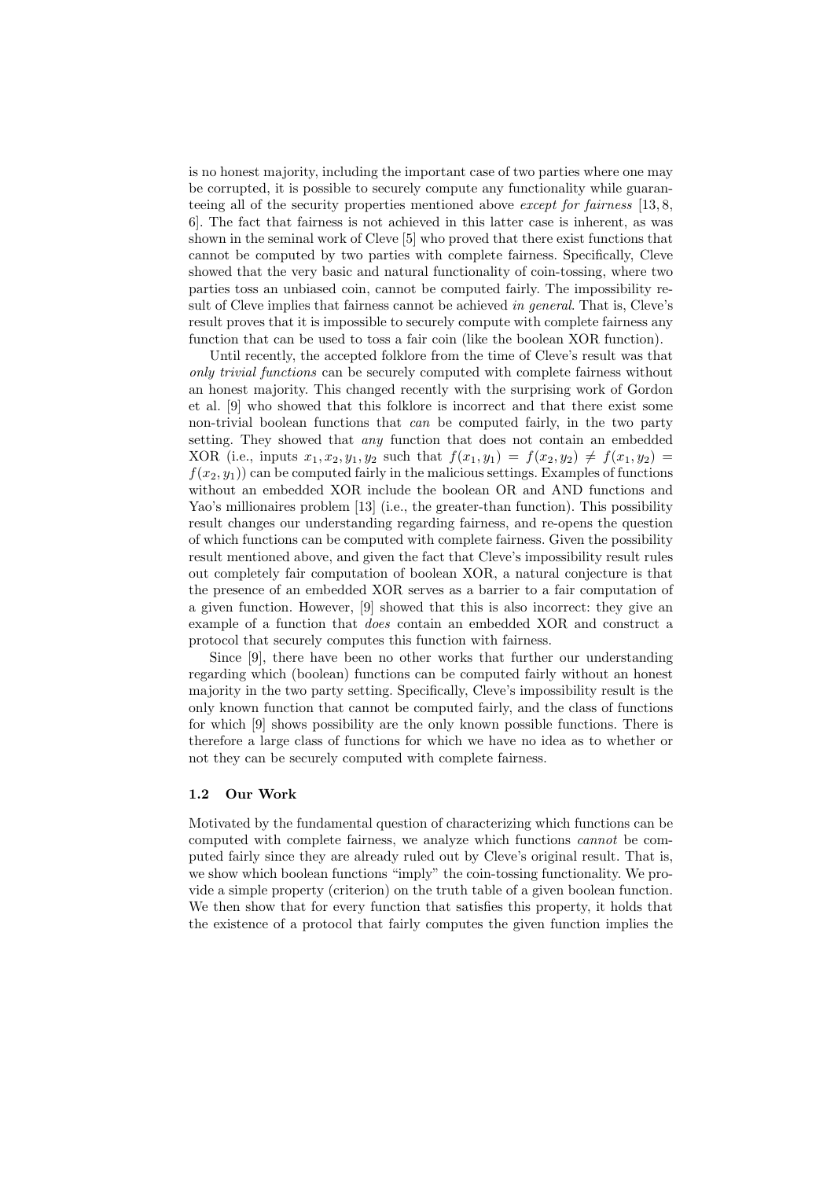is no honest majority, including the important case of two parties where one may be corrupted, it is possible to securely compute any functionality while guaranteeing all of the security properties mentioned above except for fairness [13, 8, 6]. The fact that fairness is not achieved in this latter case is inherent, as was shown in the seminal work of Cleve [5] who proved that there exist functions that cannot be computed by two parties with complete fairness. Specifically, Cleve showed that the very basic and natural functionality of coin-tossing, where two parties toss an unbiased coin, cannot be computed fairly. The impossibility result of Cleve implies that fairness cannot be achieved in general. That is, Cleve's result proves that it is impossible to securely compute with complete fairness any function that can be used to toss a fair coin (like the boolean XOR function).

Until recently, the accepted folklore from the time of Cleve's result was that only trivial functions can be securely computed with complete fairness without an honest majority. This changed recently with the surprising work of Gordon et al. [9] who showed that this folklore is incorrect and that there exist some non-trivial boolean functions that can be computed fairly, in the two party setting. They showed that *any* function that does not contain an embedded XOR (i.e., inputs  $x_1, x_2, y_1, y_2$  such that  $f(x_1, y_1) = f(x_2, y_2) \neq f(x_1, y_2) =$  $f(x_2, y_1)$  can be computed fairly in the malicious settings. Examples of functions without an embedded XOR include the boolean OR and AND functions and Yao's millionaires problem [13] (i.e., the greater-than function). This possibility result changes our understanding regarding fairness, and re-opens the question of which functions can be computed with complete fairness. Given the possibility result mentioned above, and given the fact that Cleve's impossibility result rules out completely fair computation of boolean XOR, a natural conjecture is that the presence of an embedded XOR serves as a barrier to a fair computation of a given function. However, [9] showed that this is also incorrect: they give an example of a function that does contain an embedded XOR and construct a protocol that securely computes this function with fairness.

Since [9], there have been no other works that further our understanding regarding which (boolean) functions can be computed fairly without an honest majority in the two party setting. Specifically, Cleve's impossibility result is the only known function that cannot be computed fairly, and the class of functions for which [9] shows possibility are the only known possible functions. There is therefore a large class of functions for which we have no idea as to whether or not they can be securely computed with complete fairness.

### 1.2 Our Work

Motivated by the fundamental question of characterizing which functions can be computed with complete fairness, we analyze which functions cannot be computed fairly since they are already ruled out by Cleve's original result. That is, we show which boolean functions "imply" the coin-tossing functionality. We provide a simple property (criterion) on the truth table of a given boolean function. We then show that for every function that satisfies this property, it holds that the existence of a protocol that fairly computes the given function implies the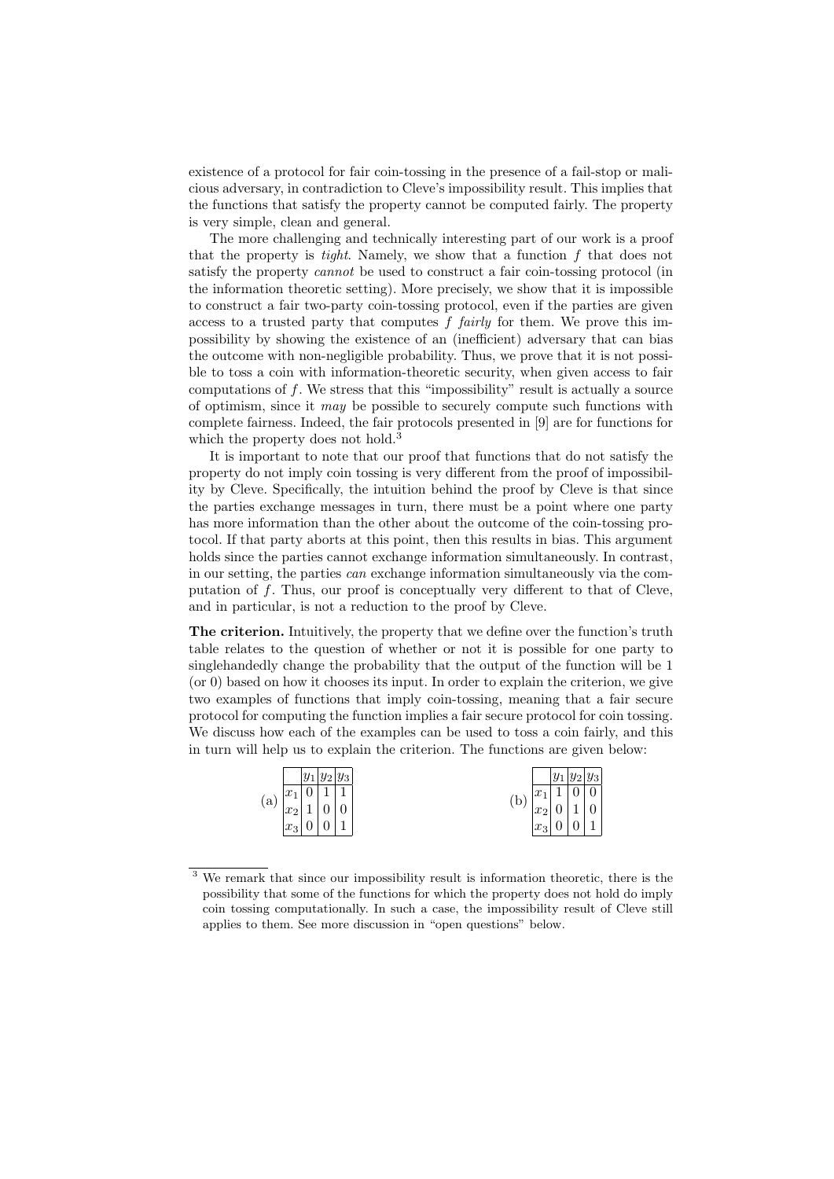existence of a protocol for fair coin-tossing in the presence of a fail-stop or malicious adversary, in contradiction to Cleve's impossibility result. This implies that the functions that satisfy the property cannot be computed fairly. The property is very simple, clean and general.

The more challenging and technically interesting part of our work is a proof that the property is *tight*. Namely, we show that a function  $f$  that does not satisfy the property cannot be used to construct a fair coin-tossing protocol (in the information theoretic setting). More precisely, we show that it is impossible to construct a fair two-party coin-tossing protocol, even if the parties are given access to a trusted party that computes  $f$  fairly for them. We prove this impossibility by showing the existence of an (inefficient) adversary that can bias the outcome with non-negligible probability. Thus, we prove that it is not possible to toss a coin with information-theoretic security, when given access to fair computations of  $f$ . We stress that this "impossibility" result is actually a source of optimism, since it may be possible to securely compute such functions with complete fairness. Indeed, the fair protocols presented in [9] are for functions for which the property does not hold.<sup>3</sup>

It is important to note that our proof that functions that do not satisfy the property do not imply coin tossing is very different from the proof of impossibility by Cleve. Specifically, the intuition behind the proof by Cleve is that since the parties exchange messages in turn, there must be a point where one party has more information than the other about the outcome of the coin-tossing protocol. If that party aborts at this point, then this results in bias. This argument holds since the parties cannot exchange information simultaneously. In contrast, in our setting, the parties can exchange information simultaneously via the computation of  $f$ . Thus, our proof is conceptually very different to that of Cleve, and in particular, is not a reduction to the proof by Cleve.

The criterion. Intuitively, the property that we define over the function's truth table relates to the question of whether or not it is possible for one party to singlehandedly change the probability that the output of the function will be 1 (or 0) based on how it chooses its input. In order to explain the criterion, we give two examples of functions that imply coin-tossing, meaning that a fair secure protocol for computing the function implies a fair secure protocol for coin tossing. We discuss how each of the examples can be used to toss a coin fairly, and this in turn will help us to explain the criterion. The functions are given below:

|           |         |               | ᢦ             | $y_3$          |              |         |   | ∸            |
|-----------|---------|---------------|---------------|----------------|--------------|---------|---|--------------|
|           | $ x_1$  |               | м             | -1<br>Ŧ        |              | $x_1$   |   |              |
| $\rm (a)$ | $ x_2 $ | м             | $\Omega$<br>v | $\overline{0}$ | $\mathbf{b}$ | $ x_2 $ | v | $\mathbf{H}$ |
|           | $ x_3 $ | $\Omega$<br>v | $\Omega$<br>U | м              |              | $ x_3 $ | U | ັ            |

<sup>&</sup>lt;sup>3</sup> We remark that since our impossibility result is information theoretic, there is the possibility that some of the functions for which the property does not hold do imply coin tossing computationally. In such a case, the impossibility result of Cleve still applies to them. See more discussion in "open questions" below.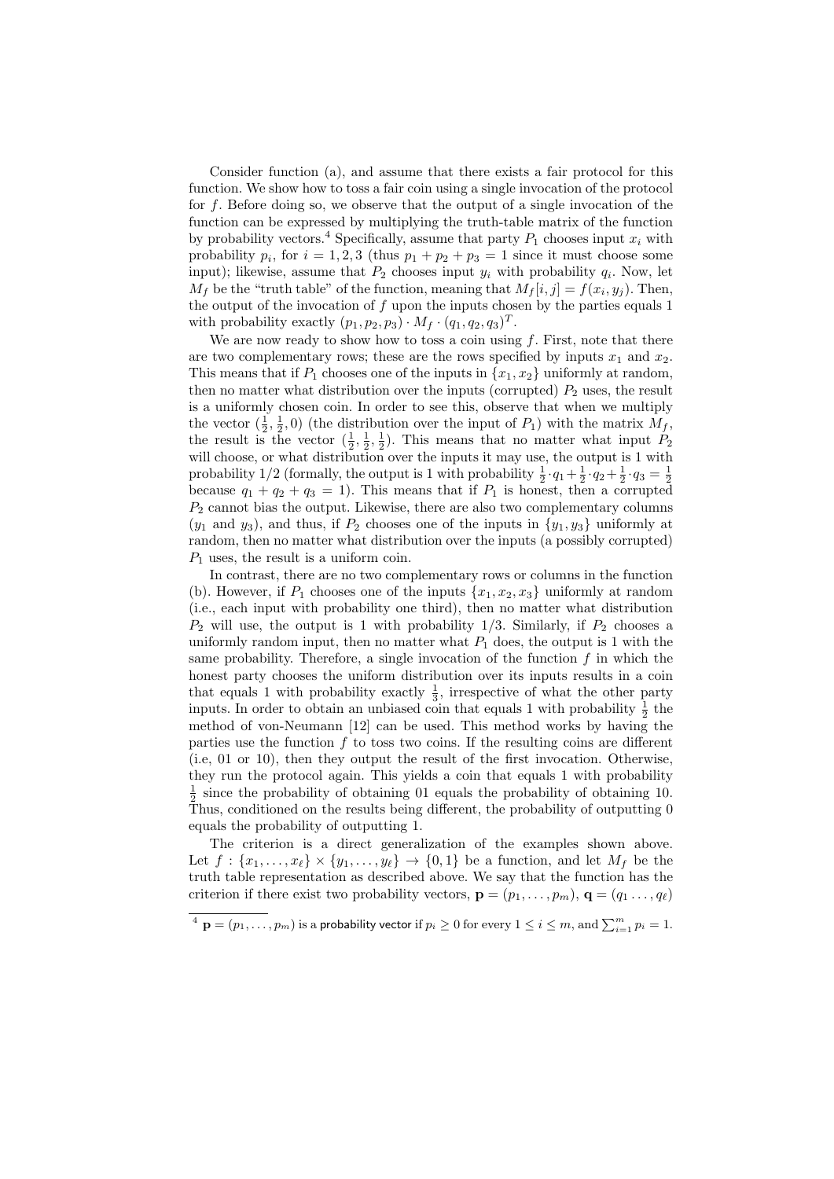Consider function (a), and assume that there exists a fair protocol for this function. We show how to toss a fair coin using a single invocation of the protocol for  $f$ . Before doing so, we observe that the output of a single invocation of the function can be expressed by multiplying the truth-table matrix of the function by probability vectors.<sup>4</sup> Specifically, assume that party  $P_1$  chooses input  $x_i$  with probability  $p_i$ , for  $i = 1, 2, 3$  (thus  $p_1 + p_2 + p_3 = 1$  since it must choose some input); likewise, assume that  $P_2$  chooses input  $y_i$  with probability  $q_i$ . Now, let  $M_f$  be the "truth table" of the function, meaning that  $M_f[i,j] = f(x_i, y_j)$ . Then, the output of the invocation of  $f$  upon the inputs chosen by the parties equals 1 with probability exactly  $(p_1, p_2, p_3) \cdot M_f \cdot (q_1, q_2, q_3)^T$ .

We are now ready to show how to toss a coin using  $f$ . First, note that there are two complementary rows; these are the rows specified by inputs  $x_1$  and  $x_2$ . This means that if  $P_1$  chooses one of the inputs in  $\{x_1, x_2\}$  uniformly at random, then no matter what distribution over the inputs (corrupted)  $P_2$  uses, the result is a uniformly chosen coin. In order to see this, observe that when we multiply the vector  $(\frac{1}{2}, \frac{1}{2}, 0)$  (the distribution over the input of  $P_1$ ) with the matrix  $M_f$ , the result is the vector  $(\frac{1}{2}, \frac{1}{2}, \frac{1}{2})$ . This means that no matter what input  $P_2$ will choose, or what distribution over the inputs it may use, the output is 1 with probability  $1/2$  (formally, the output is 1 with probability  $\frac{1}{2} \cdot q_1 + \frac{1}{2} \cdot q_2 + \frac{1}{2} \cdot q_3 = \frac{1}{2}$ because  $q_1 + q_2 + q_3 = 1$ ). This means that if  $P_1$  is honest, then a corrupted  $P_2$  cannot bias the output. Likewise, there are also two complementary columns  $(y_1$  and  $y_3$ ), and thus, if  $P_2$  chooses one of the inputs in  $\{y_1, y_3\}$  uniformly at random, then no matter what distribution over the inputs (a possibly corrupted)  $P_1$  uses, the result is a uniform coin.

In contrast, there are no two complementary rows or columns in the function (b). However, if  $P_1$  chooses one of the inputs  $\{x_1, x_2, x_3\}$  uniformly at random (i.e., each input with probability one third), then no matter what distribution  $P_2$  will use, the output is 1 with probability 1/3. Similarly, if  $P_2$  chooses a uniformly random input, then no matter what  $P_1$  does, the output is 1 with the same probability. Therefore, a single invocation of the function  $f$  in which the honest party chooses the uniform distribution over its inputs results in a coin that equals 1 with probability exactly  $\frac{1}{3}$ , irrespective of what the other party inputs. In order to obtain an unbiased coin that equals 1 with probability  $\frac{1}{2}$  the method of von-Neumann [12] can be used. This method works by having the parties use the function  $f$  to toss two coins. If the resulting coins are different (i.e, 01 or 10), then they output the result of the first invocation. Otherwise, they run the protocol again. This yields a coin that equals 1 with probability  $\frac{1}{2}$  since the probability of obtaining 01 equals the probability of obtaining 10. Thus, conditioned on the results being different, the probability of outputting 0 equals the probability of outputting 1.

The criterion is a direct generalization of the examples shown above. Let  $f: \{x_1, \ldots, x_\ell\} \times \{y_1, \ldots, y_\ell\} \rightarrow \{0, 1\}$  be a function, and let  $M_f$  be the truth table representation as described above. We say that the function has the criterion if there exist two probability vectors,  $\mathbf{p} = (p_1, \ldots, p_m)$ ,  $\mathbf{q} = (q_1, \ldots, q_\ell)$ 

 $^4$   $\mathbf{p} = (p_1, \ldots, p_m)$  is a probability vector if  $p_i \geq 0$  for every  $1 \leq i \leq m,$  and  $\sum_{i=1}^m p_i = 1.$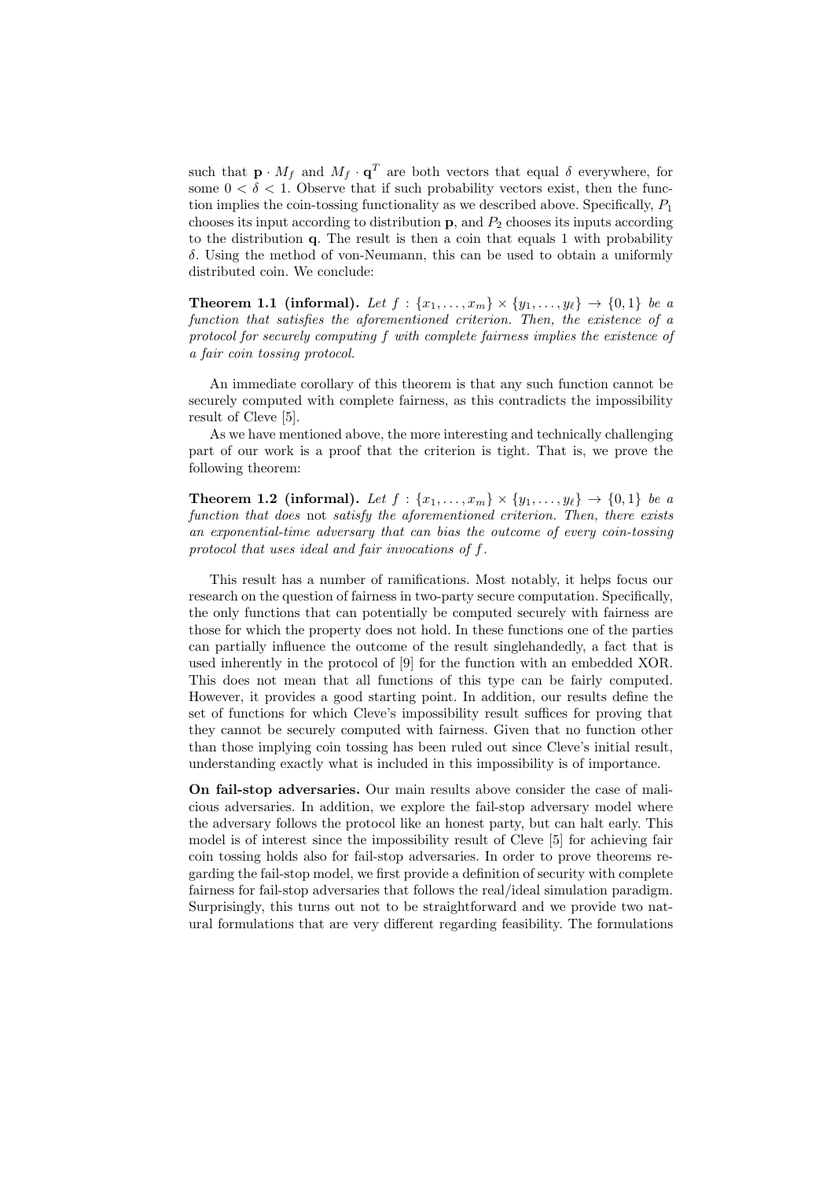such that  $\mathbf{p} \cdot M_f$  and  $M_f \cdot \mathbf{q}^T$  are both vectors that equal  $\delta$  everywhere, for some  $0 < \delta < 1$ . Observe that if such probability vectors exist, then the function implies the coin-tossing functionality as we described above. Specifically,  $P_1$ chooses its input according to distribution  $\mathbf{p}$ , and  $P_2$  chooses its inputs according to the distribution q. The result is then a coin that equals 1 with probability δ. Using the method of von-Neumann, this can be used to obtain a uniformly distributed coin. We conclude:

**Theorem 1.1 (informal).** Let  $f : \{x_1, ..., x_m\} \times \{y_1, ..., y_\ell\} \rightarrow \{0, 1\}$  be a function that satisfies the aforementioned criterion. Then, the existence of a protocol for securely computing f with complete fairness implies the existence of a fair coin tossing protocol.

An immediate corollary of this theorem is that any such function cannot be securely computed with complete fairness, as this contradicts the impossibility result of Cleve [5].

As we have mentioned above, the more interesting and technically challenging part of our work is a proof that the criterion is tight. That is, we prove the following theorem:

**Theorem 1.2 (informal).** Let  $f : \{x_1, ..., x_m\} \times \{y_1, ..., y_\ell\} \rightarrow \{0, 1\}$  be a function that does not satisfy the aforementioned criterion. Then, there exists an exponential-time adversary that can bias the outcome of every coin-tossing protocol that uses ideal and fair invocations of f.

This result has a number of ramifications. Most notably, it helps focus our research on the question of fairness in two-party secure computation. Specifically, the only functions that can potentially be computed securely with fairness are those for which the property does not hold. In these functions one of the parties can partially influence the outcome of the result singlehandedly, a fact that is used inherently in the protocol of [9] for the function with an embedded XOR. This does not mean that all functions of this type can be fairly computed. However, it provides a good starting point. In addition, our results define the set of functions for which Cleve's impossibility result suffices for proving that they cannot be securely computed with fairness. Given that no function other than those implying coin tossing has been ruled out since Cleve's initial result, understanding exactly what is included in this impossibility is of importance.

On fail-stop adversaries. Our main results above consider the case of malicious adversaries. In addition, we explore the fail-stop adversary model where the adversary follows the protocol like an honest party, but can halt early. This model is of interest since the impossibility result of Cleve [5] for achieving fair coin tossing holds also for fail-stop adversaries. In order to prove theorems regarding the fail-stop model, we first provide a definition of security with complete fairness for fail-stop adversaries that follows the real/ideal simulation paradigm. Surprisingly, this turns out not to be straightforward and we provide two natural formulations that are very different regarding feasibility. The formulations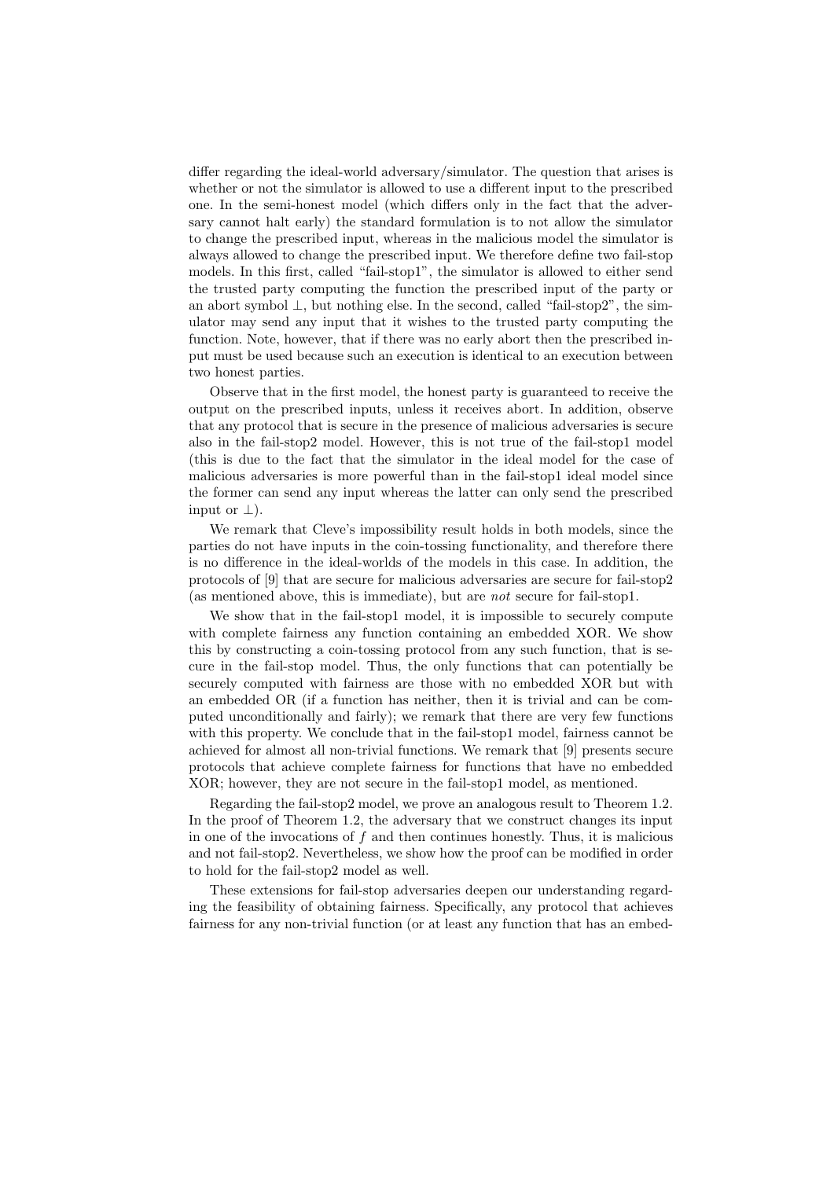differ regarding the ideal-world adversary/simulator. The question that arises is whether or not the simulator is allowed to use a different input to the prescribed one. In the semi-honest model (which differs only in the fact that the adversary cannot halt early) the standard formulation is to not allow the simulator to change the prescribed input, whereas in the malicious model the simulator is always allowed to change the prescribed input. We therefore define two fail-stop models. In this first, called "fail-stop1", the simulator is allowed to either send the trusted party computing the function the prescribed input of the party or an abort symbol  $\perp$ , but nothing else. In the second, called "fail-stop2", the simulator may send any input that it wishes to the trusted party computing the function. Note, however, that if there was no early abort then the prescribed input must be used because such an execution is identical to an execution between two honest parties.

Observe that in the first model, the honest party is guaranteed to receive the output on the prescribed inputs, unless it receives abort. In addition, observe that any protocol that is secure in the presence of malicious adversaries is secure also in the fail-stop2 model. However, this is not true of the fail-stop1 model (this is due to the fact that the simulator in the ideal model for the case of malicious adversaries is more powerful than in the fail-stop1 ideal model since the former can send any input whereas the latter can only send the prescribed input or  $\perp$ ).

We remark that Cleve's impossibility result holds in both models, since the parties do not have inputs in the coin-tossing functionality, and therefore there is no difference in the ideal-worlds of the models in this case. In addition, the protocols of [9] that are secure for malicious adversaries are secure for fail-stop2 (as mentioned above, this is immediate), but are not secure for fail-stop1.

We show that in the fail-stop1 model, it is impossible to securely compute with complete fairness any function containing an embedded XOR. We show this by constructing a coin-tossing protocol from any such function, that is secure in the fail-stop model. Thus, the only functions that can potentially be securely computed with fairness are those with no embedded XOR but with an embedded OR (if a function has neither, then it is trivial and can be computed unconditionally and fairly); we remark that there are very few functions with this property. We conclude that in the fail-stop1 model, fairness cannot be achieved for almost all non-trivial functions. We remark that [9] presents secure protocols that achieve complete fairness for functions that have no embedded XOR; however, they are not secure in the fail-stop1 model, as mentioned.

Regarding the fail-stop2 model, we prove an analogous result to Theorem 1.2. In the proof of Theorem 1.2, the adversary that we construct changes its input in one of the invocations of  $f$  and then continues honestly. Thus, it is malicious and not fail-stop2. Nevertheless, we show how the proof can be modified in order to hold for the fail-stop2 model as well.

These extensions for fail-stop adversaries deepen our understanding regarding the feasibility of obtaining fairness. Specifically, any protocol that achieves fairness for any non-trivial function (or at least any function that has an embed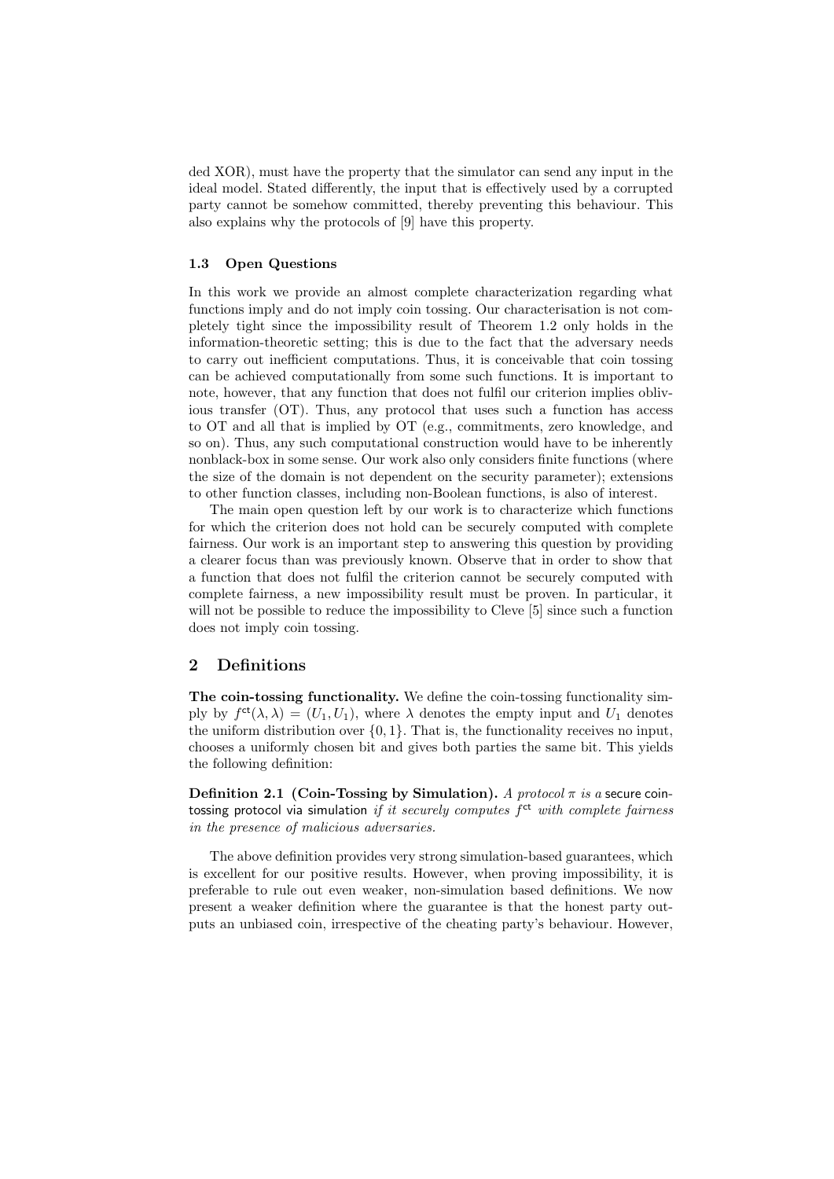ded XOR), must have the property that the simulator can send any input in the ideal model. Stated differently, the input that is effectively used by a corrupted party cannot be somehow committed, thereby preventing this behaviour. This also explains why the protocols of [9] have this property.

### 1.3 Open Questions

In this work we provide an almost complete characterization regarding what functions imply and do not imply coin tossing. Our characterisation is not completely tight since the impossibility result of Theorem 1.2 only holds in the information-theoretic setting; this is due to the fact that the adversary needs to carry out inefficient computations. Thus, it is conceivable that coin tossing can be achieved computationally from some such functions. It is important to note, however, that any function that does not fulfil our criterion implies oblivious transfer (OT). Thus, any protocol that uses such a function has access to OT and all that is implied by OT (e.g., commitments, zero knowledge, and so on). Thus, any such computational construction would have to be inherently nonblack-box in some sense. Our work also only considers finite functions (where the size of the domain is not dependent on the security parameter); extensions to other function classes, including non-Boolean functions, is also of interest.

The main open question left by our work is to characterize which functions for which the criterion does not hold can be securely computed with complete fairness. Our work is an important step to answering this question by providing a clearer focus than was previously known. Observe that in order to show that a function that does not fulfil the criterion cannot be securely computed with complete fairness, a new impossibility result must be proven. In particular, it will not be possible to reduce the impossibility to Cleve [5] since such a function does not imply coin tossing.

# 2 Definitions

The coin-tossing functionality. We define the coin-tossing functionality simply by  $f^{\text{ct}}(\lambda, \lambda) = (U_1, U_1)$ , where  $\lambda$  denotes the empty input and  $U_1$  denotes the uniform distribution over  $\{0, 1\}$ . That is, the functionality receives no input, chooses a uniformly chosen bit and gives both parties the same bit. This yields the following definition:

Definition 2.1 (Coin-Tossing by Simulation). A protocol  $\pi$  is a secure cointossing protocol via simulation if it securely computes  $f^{ct}$  with complete fairness in the presence of malicious adversaries.

The above definition provides very strong simulation-based guarantees, which is excellent for our positive results. However, when proving impossibility, it is preferable to rule out even weaker, non-simulation based definitions. We now present a weaker definition where the guarantee is that the honest party outputs an unbiased coin, irrespective of the cheating party's behaviour. However,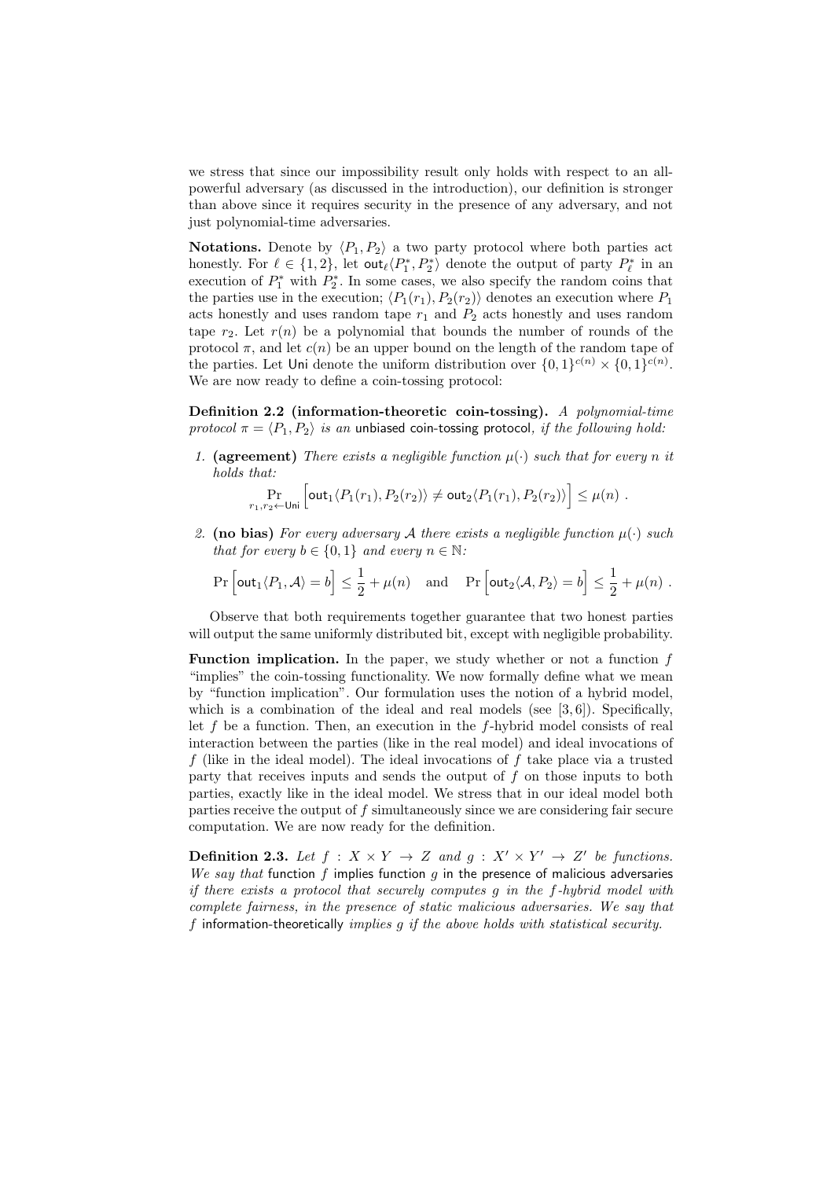we stress that since our impossibility result only holds with respect to an allpowerful adversary (as discussed in the introduction), our definition is stronger than above since it requires security in the presence of any adversary, and not just polynomial-time adversaries.

**Notations.** Denote by  $\langle P_1, P_2 \rangle$  a two party protocol where both parties act honestly. For  $\ell \in \{1, 2\}$ , let  $\text{out}_{\ell} \langle P_1^*, P_2^* \rangle$  denote the output of party  $P_{\ell}^*$  in an execution of  $P_1^*$  with  $P_2^*$ . In some cases, we also specify the random coins that the parties use in the execution;  $\langle P_1(r_1), P_2(r_2) \rangle$  denotes an execution where  $P_1$ acts honestly and uses random tape  $r_1$  and  $P_2$  acts honestly and uses random tape  $r_2$ . Let  $r(n)$  be a polynomial that bounds the number of rounds of the protocol  $\pi$ , and let  $c(n)$  be an upper bound on the length of the random tape of the parties. Let Uni denote the uniform distribution over  $\{0,1\}^{c(n)} \times \{0,1\}^{c(n)}$ . We are now ready to define a coin-tossing protocol:

Definition 2.2 (information-theoretic coin-tossing). A polynomial-time protocol  $\pi = \langle P_1, P_2 \rangle$  is an unbiased coin-tossing protocol, if the following hold:

1. (agreement) There exists a negligible function  $\mu(\cdot)$  such that for every n it holds that:

$$
\Pr_{r_1,r_2\leftarrow \text{Uni}}\left[\text{out}_1\langle P_1(r_1),P_2(r_2)\rangle \neq \text{out}_2\langle P_1(r_1),P_2(r_2)\rangle\right] \leq \mu(n) .
$$

2. (no bias) For every adversary A there exists a negligible function  $\mu(\cdot)$  such that for every  $b \in \{0,1\}$  and every  $n \in \mathbb{N}$ :

$$
\Pr\left[\textsf{out}_1\langle P_1,\mathcal{A}\rangle=b\right]\leq \frac{1}{2}+\mu(n)\quad\text{and}\quad\Pr\left[\textsf{out}_2\langle \mathcal{A},P_2\rangle=b\right]\leq \frac{1}{2}+\mu(n)\;.
$$

Observe that both requirements together guarantee that two honest parties will output the same uniformly distributed bit, except with negligible probability.

**Function implication.** In the paper, we study whether or not a function  $f$ "implies" the coin-tossing functionality. We now formally define what we mean by "function implication". Our formulation uses the notion of a hybrid model, which is a combination of the ideal and real models (see  $[3, 6]$ ). Specifically, let  $f$  be a function. Then, an execution in the  $f$ -hybrid model consists of real interaction between the parties (like in the real model) and ideal invocations of  $f$  (like in the ideal model). The ideal invocations of  $f$  take place via a trusted party that receives inputs and sends the output of f on those inputs to both parties, exactly like in the ideal model. We stress that in our ideal model both parties receive the output of f simultaneously since we are considering fair secure computation. We are now ready for the definition.

**Definition 2.3.** Let  $f : X \times Y \to Z$  and  $g : X' \times Y' \to Z'$  be functions. We say that function f implies function  $q$  in the presence of malicious adversaries if there exists a protocol that securely computes g in the f-hybrid model with complete fairness, in the presence of static malicious adversaries. We say that f information-theoretically *implies q if the above holds with statistical security*.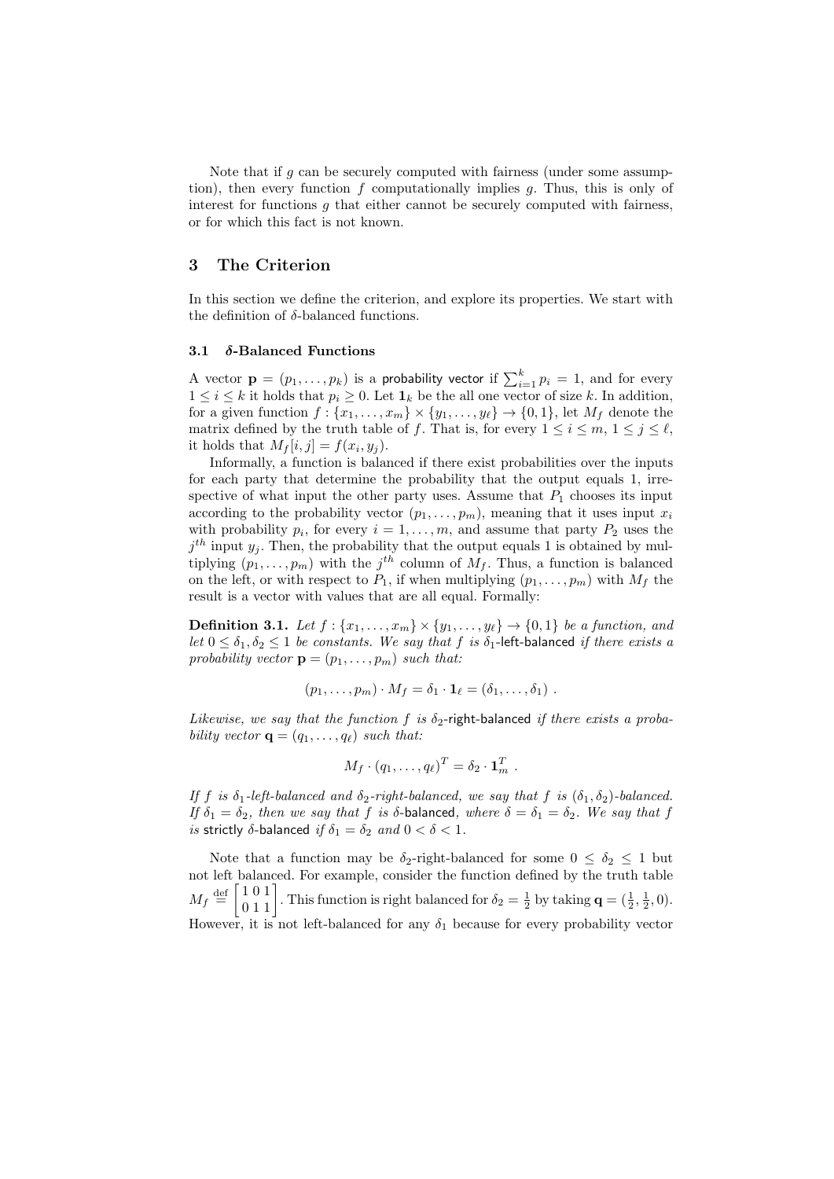Note that if g can be securely computed with fairness (under some assumption), then every function f computationally implies g. Thus, this is only of interest for functions  $g$  that either cannot be securely computed with fairness, or for which this fact is not known.

# 3 The Criterion

In this section we define the criterion, and explore its properties. We start with the definition of  $δ$ -balanced functions.

### 3.1 δ-Balanced Functions

A vector  $\mathbf{p} = (p_1, \ldots, p_k)$  is a probability vector if  $\sum_{i=1}^k p_i = 1$ , and for every  $1 \leq i \leq k$  it holds that  $p_i \geq 0$ . Let  $\mathbf{1}_k$  be the all one vector of size k. In addition, for a given function  $f: \{x_1, \ldots, x_m\} \times \{y_1, \ldots, y_\ell\} \to \{0, 1\}$ , let  $M_f$  denote the matrix defined by the truth table of f. That is, for every  $1 \leq i \leq m, 1 \leq j \leq \ell$ , it holds that  $M_f[i, j] = f(x_i, y_j)$ .

Informally, a function is balanced if there exist probabilities over the inputs for each party that determine the probability that the output equals 1, irrespective of what input the other party uses. Assume that  $P_1$  chooses its input according to the probability vector  $(p_1, \ldots, p_m)$ , meaning that it uses input  $x_i$ with probability  $p_i$ , for every  $i = 1, \ldots, m$ , and assume that party  $P_2$  uses the  $j<sup>th</sup>$  input  $y<sub>j</sub>$ . Then, the probability that the output equals 1 is obtained by multiplying  $(p_1, \ldots, p_m)$  with the  $j<sup>th</sup>$  column of  $M_f$ . Thus, a function is balanced on the left, or with respect to  $P_1$ , if when multiplying  $(p_1, \ldots, p_m)$  with  $M_f$  the result is a vector with values that are all equal. Formally:

**Definition 3.1.** Let  $f : \{x_1, \ldots, x_m\} \times \{y_1, \ldots, y_\ell\} \rightarrow \{0, 1\}$  be a function, and let  $0 \le \delta_1, \delta_2 \le 1$  be constants. We say that f is  $\delta_1$ -left-balanced if there exists a probability vector  $\mathbf{p} = (p_1, \ldots, p_m)$  such that:

$$
(p_1,\ldots,p_m)\cdot M_f=\delta_1\cdot\mathbf{1}_{\ell}=(\delta_1,\ldots,\delta_1).
$$

Likewise, we say that the function f is  $\delta_2$ -right-balanced if there exists a probability vector  $\mathbf{q} = (q_1, \ldots, q_\ell)$  such that:

$$
M_f \cdot (q_1, \ldots, q_\ell)^T = \delta_2 \cdot \mathbf{1}_m^T.
$$

If f is  $\delta_1$ -left-balanced and  $\delta_2$ -right-balanced, we say that f is  $(\delta_1, \delta_2)$ -balanced. If  $\delta_1 = \delta_2$ , then we say that f is  $\delta$ -balanced, where  $\delta = \delta_1 = \delta_2$ . We say that f is strictly  $\delta$ -balanced if  $\delta_1 = \delta_2$  and  $0 < \delta < 1$ .

Note that a function may be  $\delta_2$ -right-balanced for some  $0 \leq \delta_2 \leq 1$  but not left balanced. For example, consider the function defined by the truth table  $M_f \stackrel{\text{def}}{=} \begin{bmatrix} 1 & 0 & 1 \\ 0 & 1 & 1 \end{bmatrix}$ . This function is right balanced for  $\delta_2 = \frac{1}{2}$  by taking  $\mathbf{q} = (\frac{1}{2}, \frac{1}{2}, 0)$ . However, it is not left-balanced for any  $\delta_1$  because for every probability vector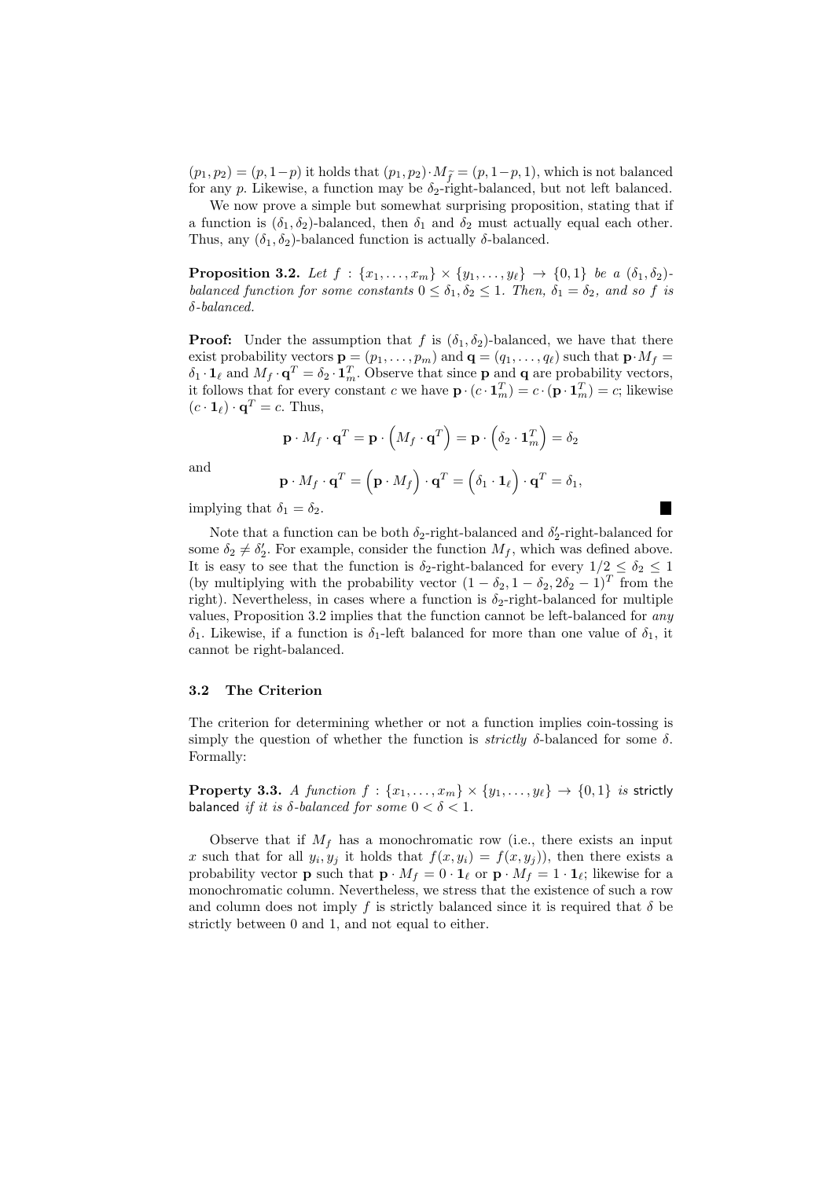$(p_1, p_2) = (p, 1-p)$  it holds that  $(p_1, p_2) \cdot M_{\widetilde{f}} = (p, 1-p, 1)$ , which is not balanced for any p. Likewise, a function may be  $\delta_2$ -right-balanced, but not left balanced.

We now prove a simple but somewhat surprising proposition, stating that if a function is  $(\delta_1, \delta_2)$ -balanced, then  $\delta_1$  and  $\delta_2$  must actually equal each other. Thus, any  $(\delta_1, \delta_2)$ -balanced function is actually  $\delta$ -balanced.

**Proposition 3.2.** Let  $f : \{x_1, \ldots, x_m\} \times \{y_1, \ldots, y_\ell\} \rightarrow \{0, 1\}$  be a  $(\delta_1, \delta_2)$ balanced function for some constants  $0 \leq \delta_1, \delta_2 \leq 1$ . Then,  $\delta_1 = \delta_2$ , and so f is δ-balanced.

**Proof:** Under the assumption that f is  $(\delta_1, \delta_2)$ -balanced, we have that there exist probability vectors  $\mathbf{p} = (p_1, \ldots, p_m)$  and  $\mathbf{q} = (q_1, \ldots, q_\ell)$  such that  $\mathbf{p} \cdot M_f =$  $\delta_1 \cdot \mathbf{1}_\ell$  and  $M_f \cdot \mathbf{q}^T = \delta_2 \cdot \mathbf{1}_m^T$ . Observe that since **p** and **q** are probability vectors, it follows that for every constant c we have  $\mathbf{p} \cdot (c \cdot \mathbf{1}_m^T) = c \cdot (\mathbf{p} \cdot \mathbf{1}_m^T) = c$ ; likewise  $(c \cdot \mathbf{1}_{\ell}) \cdot \mathbf{q}^T = c$ . Thus,

$$
\mathbf{p} \cdot M_f \cdot \mathbf{q}^T = \mathbf{p} \cdot \left( M_f \cdot \mathbf{q}^T \right) = \mathbf{p} \cdot \left( \delta_2 \cdot \mathbf{1}_m^T \right) = \delta_2
$$

and

$$
\mathbf{p} \cdot M_f \cdot \mathbf{q}^T = (\mathbf{p} \cdot M_f) \cdot \mathbf{q}^T = (\delta_1 \cdot \mathbf{1}_{\ell}) \cdot \mathbf{q}^T = \delta_1,
$$

implying that  $\delta_1 = \delta_2$ .

Note that a function can be both  $\delta_2$ -right-balanced and  $\delta_2'$ -right-balanced for some  $\delta_2 \neq \delta_2'$ . For example, consider the function  $M_f$ , which was defined above. It is easy to see that the function is  $\delta_2$ -right-balanced for every  $1/2 \leq \delta_2 \leq 1$ (by multiplying with the probability vector  $(1 - \delta_2, 1 - \delta_2, 2\delta_2 - 1)^T$  from the right). Nevertheless, in cases where a function is  $\delta_2$ -right-balanced for multiple values, Proposition 3.2 implies that the function cannot be left-balanced for any  $\delta_1$ . Likewise, if a function is  $\delta_1$ -left balanced for more than one value of  $\delta_1$ , it cannot be right-balanced.

#### 3.2 The Criterion

The criterion for determining whether or not a function implies coin-tossing is simply the question of whether the function is *strictly*  $\delta$ -balanced for some  $\delta$ . Formally:

**Property 3.3.** A function  $f : \{x_1, \ldots, x_m\} \times \{y_1, \ldots, y_\ell\} \rightarrow \{0, 1\}$  is strictly balanced if it is  $\delta$ -balanced for some  $0 < \delta < 1$ .

Observe that if  $M_f$  has a monochromatic row (i.e., there exists an input x such that for all  $y_i, y_j$  it holds that  $f(x, y_i) = f(x, y_j)$ , then there exists a probability vector **p** such that  $\mathbf{p} \cdot M_f = 0 \cdot \mathbf{1}_{\ell}$  or  $\mathbf{p} \cdot M_f = 1 \cdot \mathbf{1}_{\ell}$ ; likewise for a monochromatic column. Nevertheless, we stress that the existence of such a row and column does not imply f is strictly balanced since it is required that  $\delta$  be strictly between 0 and 1, and not equal to either.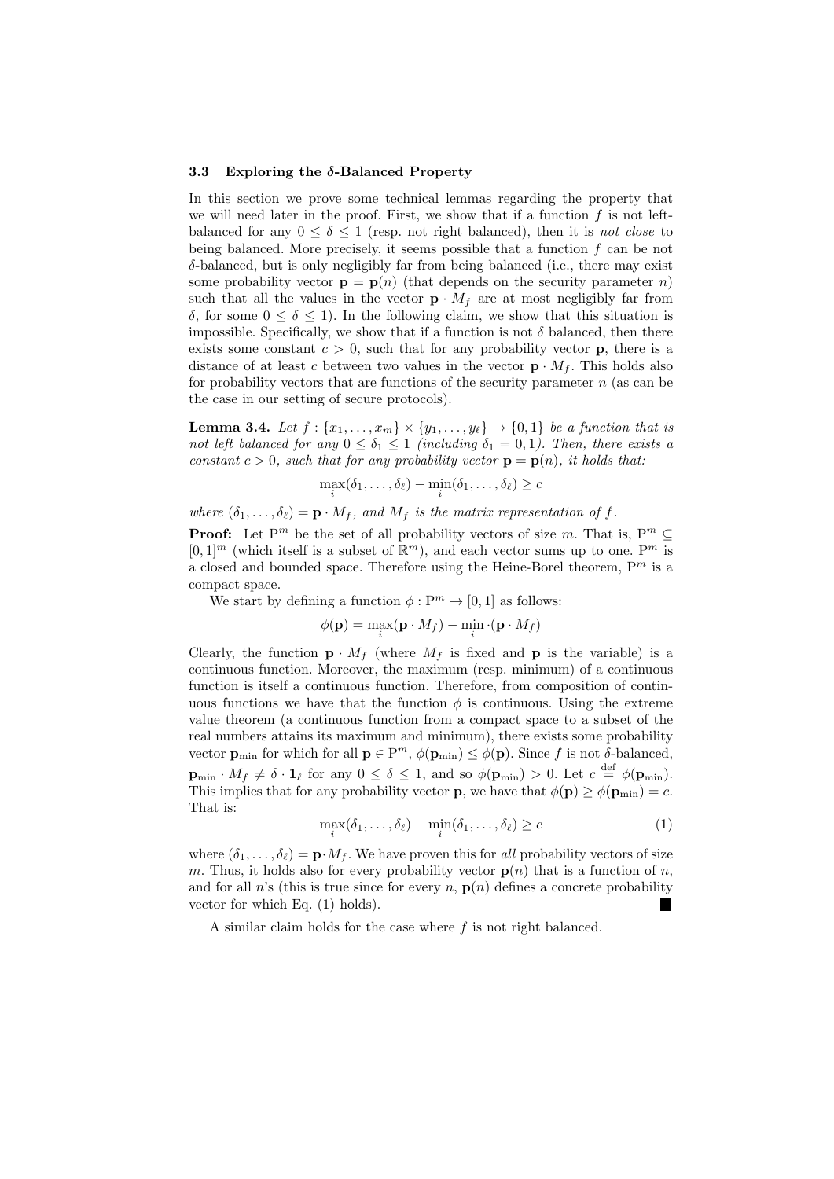#### 3.3 Exploring the  $\delta$ -Balanced Property

In this section we prove some technical lemmas regarding the property that we will need later in the proof. First, we show that if a function  $f$  is not leftbalanced for any  $0 \le \delta \le 1$  (resp. not right balanced), then it is not close to being balanced. More precisely, it seems possible that a function  $f$  can be not  $\delta$ -balanced, but is only negligibly far from being balanced (i.e., there may exist some probability vector  $p = p(n)$  (that depends on the security parameter n) such that all the values in the vector  $\mathbf{p} \cdot M_f$  are at most negligibly far from δ, for some 0 ≤ δ ≤ 1). In the following claim, we show that this situation is impossible. Specifically, we show that if a function is not  $\delta$  balanced, then there exists some constant  $c > 0$ , such that for any probability vector **p**, there is a distance of at least c between two values in the vector  $\mathbf{p} \cdot M_f$ . This holds also for probability vectors that are functions of the security parameter  $n$  (as can be the case in our setting of secure protocols).

**Lemma 3.4.** Let  $f : \{x_1, ..., x_m\} \times \{y_1, ..., y_\ell\} \to \{0, 1\}$  be a function that is not left balanced for any  $0 \le \delta_1 \le 1$  (including  $\delta_1 = 0, 1$ ). Then, there exists a constant  $c > 0$ , such that for any probability vector  $\mathbf{p} = \mathbf{p}(n)$ , it holds that:

$$
\max_i(\delta_1,\ldots,\delta_\ell)-\min_i(\delta_1,\ldots,\delta_\ell)\geq c
$$

where  $(\delta_1, \ldots, \delta_\ell) = \mathbf{p} \cdot M_f$ , and  $M_f$  is the matrix representation of f.

**Proof:** Let P<sup>m</sup> be the set of all probability vectors of size m. That is, P<sup>m</sup>  $\subseteq$  $[0,1]^m$  (which itself is a subset of  $\mathbb{R}^m$ ), and each vector sums up to one. P<sup>m</sup> is a closed and bounded space. Therefore using the Heine-Borel theorem,  $P<sup>m</sup>$  is a compact space.

We start by defining a function  $\phi : P^m \to [0, 1]$  as follows:

$$
\phi(\mathbf{p}) = \max_i(\mathbf{p} \cdot M_f) - \min_i \cdot (\mathbf{p} \cdot M_f)
$$

Clearly, the function  $\mathbf{p} \cdot M_f$  (where  $M_f$  is fixed and  $\mathbf{p}$  is the variable) is a continuous function. Moreover, the maximum (resp. minimum) of a continuous function is itself a continuous function. Therefore, from composition of continuous functions we have that the function  $\phi$  is continuous. Using the extreme value theorem (a continuous function from a compact space to a subset of the real numbers attains its maximum and minimum), there exists some probability vector  $\mathbf{p}_{\min}$  for which for all  $\mathbf{p} \in \mathbb{P}^m$ ,  $\phi(\mathbf{p}_{\min}) \leq \phi(\mathbf{p})$ . Since f is not  $\delta$ -balanced,  $\mathbf{p}_{\min} \cdot M_f \neq \delta \cdot \mathbf{1}_{\ell}$  for any  $0 \leq \delta \leq 1$ , and so  $\phi(\mathbf{p}_{\min}) > 0$ . Let  $c \stackrel{\text{def}}{=} \phi(\mathbf{p}_{\min})$ . This implies that for any probability vector **p**, we have that  $\phi(\mathbf{p}) \geq \phi(\mathbf{p}_{\min}) = c$ . That is:

$$
\max_{i}(\delta_1, \dots, \delta_\ell) - \min_{i}(\delta_1, \dots, \delta_\ell) \ge c \tag{1}
$$

where  $(\delta_1, \ldots, \delta_\ell) = \mathbf{p} \cdot M_f$ . We have proven this for all probability vectors of size m. Thus, it holds also for every probability vector  $p(n)$  that is a function of n, and for all n's (this is true since for every n,  $p(n)$  defines a concrete probability vector for which Eq. (1) holds).

A similar claim holds for the case where  $f$  is not right balanced.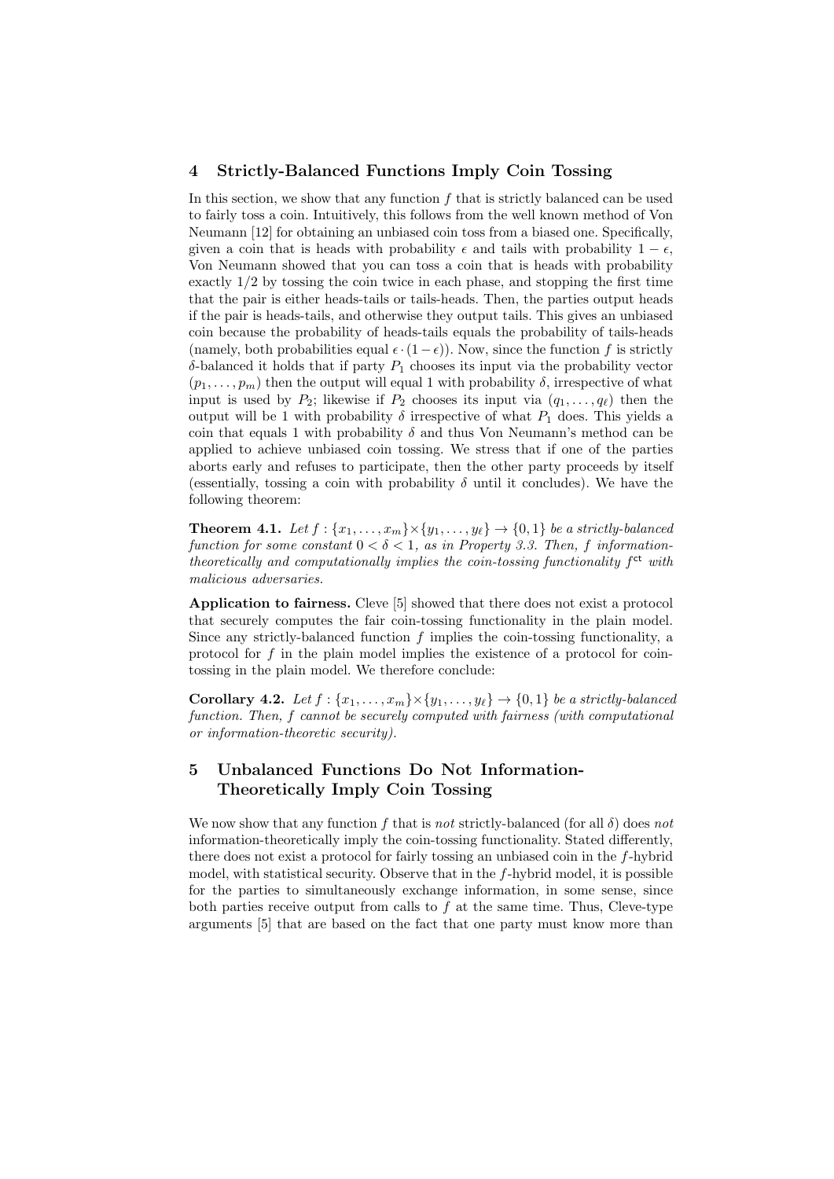# 4 Strictly-Balanced Functions Imply Coin Tossing

In this section, we show that any function  $f$  that is strictly balanced can be used to fairly toss a coin. Intuitively, this follows from the well known method of Von Neumann [12] for obtaining an unbiased coin toss from a biased one. Specifically, given a coin that is heads with probability  $\epsilon$  and tails with probability  $1 - \epsilon$ , Von Neumann showed that you can toss a coin that is heads with probability exactly  $1/2$  by tossing the coin twice in each phase, and stopping the first time that the pair is either heads-tails or tails-heads. Then, the parties output heads if the pair is heads-tails, and otherwise they output tails. This gives an unbiased coin because the probability of heads-tails equals the probability of tails-heads (namely, both probabilities equal  $\epsilon \cdot (1-\epsilon)$ ). Now, since the function f is strictly δ-balanced it holds that if party  $P_1$  chooses its input via the probability vector  $(p_1, \ldots, p_m)$  then the output will equal 1 with probability  $\delta$ , irrespective of what input is used by  $P_2$ ; likewise if  $P_2$  chooses its input via  $(q_1, \ldots, q_\ell)$  then the output will be 1 with probability  $\delta$  irrespective of what  $P_1$  does. This yields a coin that equals 1 with probability  $\delta$  and thus Von Neumann's method can be applied to achieve unbiased coin tossing. We stress that if one of the parties aborts early and refuses to participate, then the other party proceeds by itself (essentially, tossing a coin with probability  $\delta$  until it concludes). We have the following theorem:

**Theorem 4.1.** Let  $f : \{x_1, \ldots, x_m\} \times \{y_1, \ldots, y_\ell\} \rightarrow \{0, 1\}$  be a strictly-balanced function for some constant  $0 < \delta < 1$ , as in Property 3.3. Then, f informationtheoretically and computationally implies the coin-tossing functionality  $f<sup>ct</sup>$  with malicious adversaries.

Application to fairness. Cleve [5] showed that there does not exist a protocol that securely computes the fair coin-tossing functionality in the plain model. Since any strictly-balanced function  $f$  implies the coin-tossing functionality, a protocol for  $f$  in the plain model implies the existence of a protocol for cointossing in the plain model. We therefore conclude:

Corollary 4.2. Let  $f : \{x_1, \ldots, x_m\} \times \{y_1, \ldots, y_\ell\} \rightarrow \{0, 1\}$  be a strictly-balanced function. Then, f cannot be securely computed with fairness (with computational or information-theoretic security).

# 5 Unbalanced Functions Do Not Information-Theoretically Imply Coin Tossing

We now show that any function f that is not strictly-balanced (for all  $\delta$ ) does not information-theoretically imply the coin-tossing functionality. Stated differently, there does not exist a protocol for fairly tossing an unbiased coin in the f-hybrid model, with statistical security. Observe that in the f-hybrid model, it is possible for the parties to simultaneously exchange information, in some sense, since both parties receive output from calls to  $f$  at the same time. Thus, Cleve-type arguments [5] that are based on the fact that one party must know more than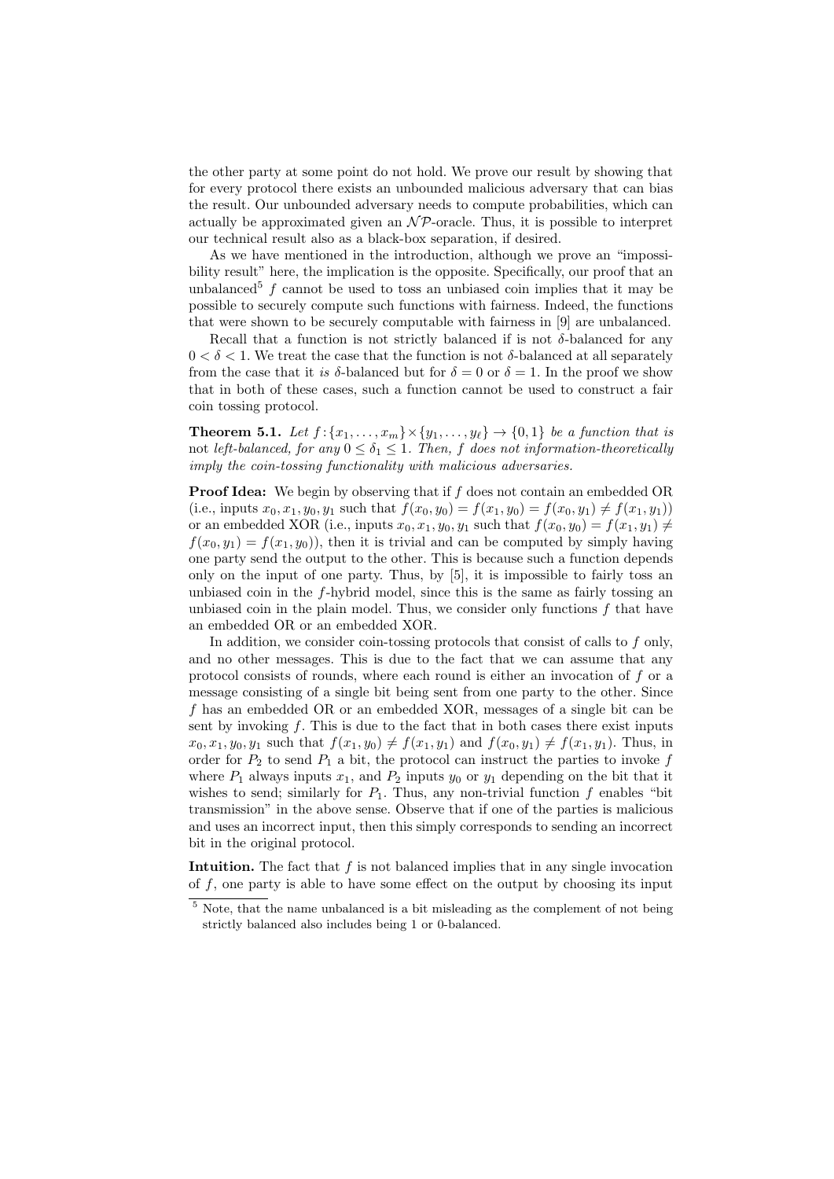the other party at some point do not hold. We prove our result by showing that for every protocol there exists an unbounded malicious adversary that can bias the result. Our unbounded adversary needs to compute probabilities, which can actually be approximated given an  $\mathcal{NP}$ -oracle. Thus, it is possible to interpret our technical result also as a black-box separation, if desired.

As we have mentioned in the introduction, although we prove an "impossibility result" here, the implication is the opposite. Specifically, our proof that an unbalanced<sup>5</sup> f cannot be used to toss an unbiased coin implies that it may be possible to securely compute such functions with fairness. Indeed, the functions that were shown to be securely computable with fairness in [9] are unbalanced.

Recall that a function is not strictly balanced if is not  $\delta$ -balanced for any  $0 < \delta < 1$ . We treat the case that the function is not  $\delta$ -balanced at all separately from the case that it is  $\delta$ -balanced but for  $\delta = 0$  or  $\delta = 1$ . In the proof we show that in both of these cases, such a function cannot be used to construct a fair coin tossing protocol.

**Theorem 5.1.** Let  $f: \{x_1, \ldots, x_m\} \times \{y_1, \ldots, y_\ell\} \rightarrow \{0, 1\}$  be a function that is not left-balanced, for any  $0 \le \delta_1 \le 1$ . Then, f does not information-theoretically imply the coin-tossing functionality with malicious adversaries.

**Proof Idea:** We begin by observing that if  $f$  does not contain an embedded OR (i.e., inputs  $x_0, x_1, y_0, y_1$  such that  $f(x_0, y_0) = f(x_1, y_0) = f(x_0, y_1) \neq f(x_1, y_1)$ ) or an embedded XOR (i.e., inputs  $x_0, x_1, y_0, y_1$  such that  $f(x_0, y_0) = f(x_1, y_1) \neq$  $f(x_0, y_1) = f(x_1, y_0)$ , then it is trivial and can be computed by simply having one party send the output to the other. This is because such a function depends only on the input of one party. Thus, by [5], it is impossible to fairly toss an unbiased coin in the f-hybrid model, since this is the same as fairly tossing an unbiased coin in the plain model. Thus, we consider only functions  $f$  that have an embedded OR or an embedded XOR.

In addition, we consider coin-tossing protocols that consist of calls to  $f$  only, and no other messages. This is due to the fact that we can assume that any protocol consists of rounds, where each round is either an invocation of  $f$  or a message consisting of a single bit being sent from one party to the other. Since f has an embedded OR or an embedded XOR, messages of a single bit can be sent by invoking  $f$ . This is due to the fact that in both cases there exist inputs  $x_0, x_1, y_0, y_1$  such that  $f(x_1, y_0) \neq f(x_1, y_1)$  and  $f(x_0, y_1) \neq f(x_1, y_1)$ . Thus, in order for  $P_2$  to send  $P_1$  a bit, the protocol can instruct the parties to invoke  $f$ where  $P_1$  always inputs  $x_1$ , and  $P_2$  inputs  $y_0$  or  $y_1$  depending on the bit that it wishes to send; similarly for  $P_1$ . Thus, any non-trivial function f enables "bit transmission" in the above sense. Observe that if one of the parties is malicious and uses an incorrect input, then this simply corresponds to sending an incorrect bit in the original protocol.

Intuition. The fact that  $f$  is not balanced implies that in any single invocation of  $f$ , one party is able to have some effect on the output by choosing its input

<sup>&</sup>lt;sup>5</sup> Note, that the name unbalanced is a bit misleading as the complement of not being strictly balanced also includes being 1 or 0-balanced.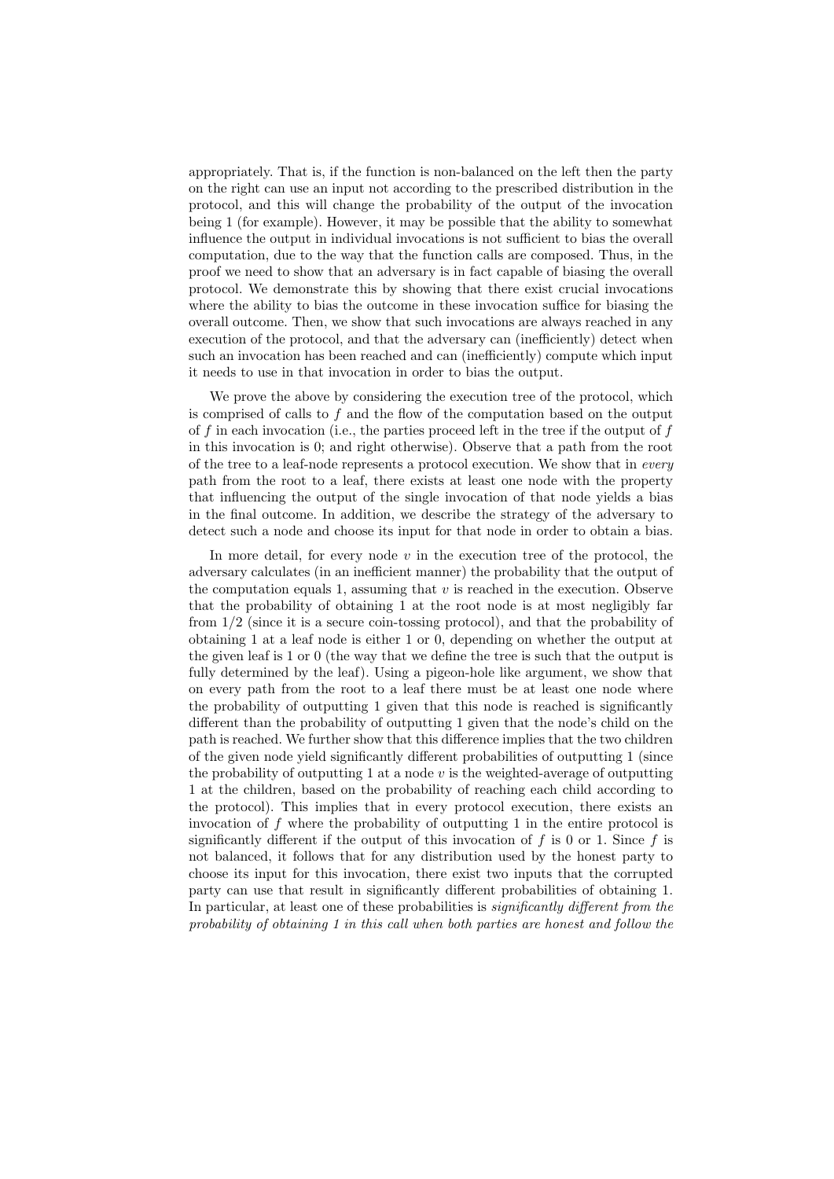appropriately. That is, if the function is non-balanced on the left then the party on the right can use an input not according to the prescribed distribution in the protocol, and this will change the probability of the output of the invocation being 1 (for example). However, it may be possible that the ability to somewhat influence the output in individual invocations is not sufficient to bias the overall computation, due to the way that the function calls are composed. Thus, in the proof we need to show that an adversary is in fact capable of biasing the overall protocol. We demonstrate this by showing that there exist crucial invocations where the ability to bias the outcome in these invocation suffice for biasing the overall outcome. Then, we show that such invocations are always reached in any execution of the protocol, and that the adversary can (inefficiently) detect when such an invocation has been reached and can (inefficiently) compute which input it needs to use in that invocation in order to bias the output.

We prove the above by considering the execution tree of the protocol, which is comprised of calls to  $f$  and the flow of the computation based on the output of f in each invocation (i.e., the parties proceed left in the tree if the output of  $f$ in this invocation is 0; and right otherwise). Observe that a path from the root of the tree to a leaf-node represents a protocol execution. We show that in every path from the root to a leaf, there exists at least one node with the property that influencing the output of the single invocation of that node yields a bias in the final outcome. In addition, we describe the strategy of the adversary to detect such a node and choose its input for that node in order to obtain a bias.

In more detail, for every node  $v$  in the execution tree of the protocol, the adversary calculates (in an inefficient manner) the probability that the output of the computation equals 1, assuming that  $v$  is reached in the execution. Observe that the probability of obtaining 1 at the root node is at most negligibly far from 1/2 (since it is a secure coin-tossing protocol), and that the probability of obtaining 1 at a leaf node is either 1 or 0, depending on whether the output at the given leaf is 1 or 0 (the way that we define the tree is such that the output is fully determined by the leaf). Using a pigeon-hole like argument, we show that on every path from the root to a leaf there must be at least one node where the probability of outputting 1 given that this node is reached is significantly different than the probability of outputting 1 given that the node's child on the path is reached. We further show that this difference implies that the two children of the given node yield significantly different probabilities of outputting 1 (since the probability of outputting 1 at a node  $v$  is the weighted-average of outputting 1 at the children, based on the probability of reaching each child according to the protocol). This implies that in every protocol execution, there exists an invocation of f where the probability of outputting 1 in the entire protocol is significantly different if the output of this invocation of f is 0 or 1. Since f is not balanced, it follows that for any distribution used by the honest party to choose its input for this invocation, there exist two inputs that the corrupted party can use that result in significantly different probabilities of obtaining 1. In particular, at least one of these probabilities is *significantly different from the* probability of obtaining 1 in this call when both parties are honest and follow the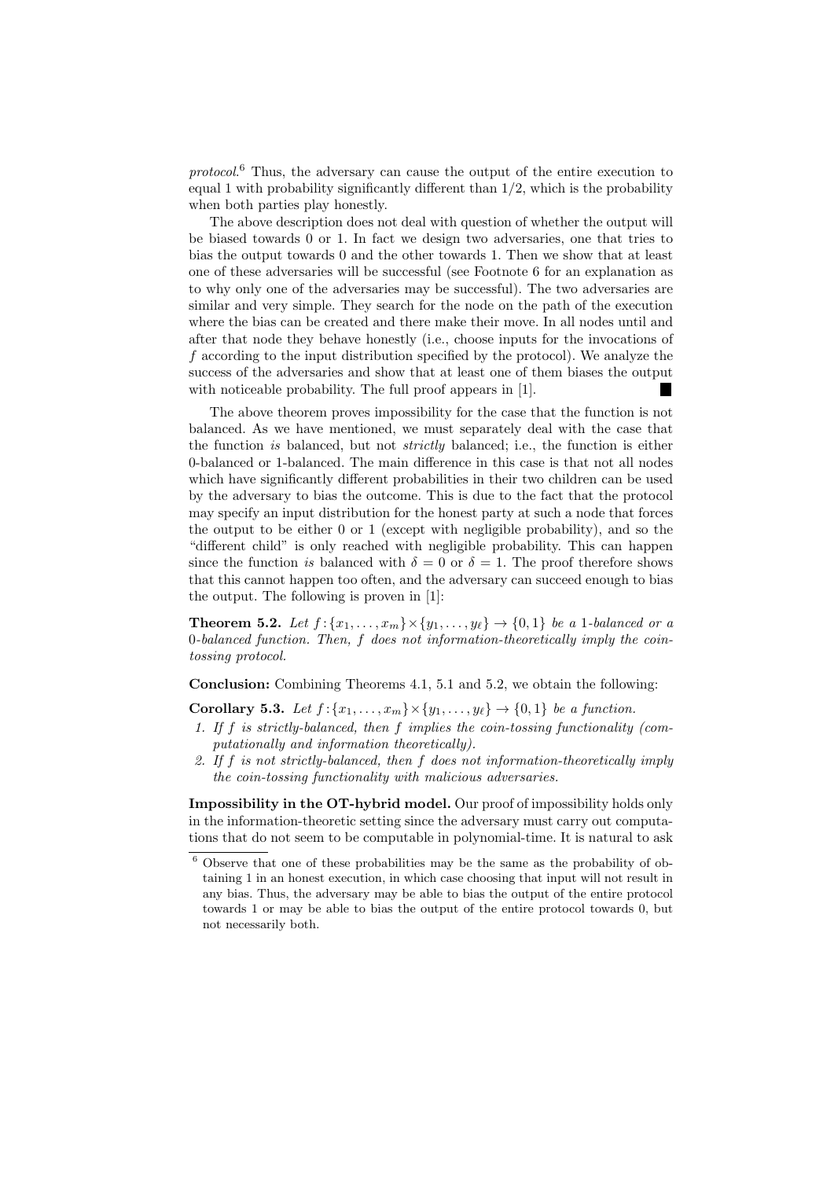protocol.<sup>6</sup> Thus, the adversary can cause the output of the entire execution to equal 1 with probability significantly different than  $1/2$ , which is the probability when both parties play honestly.

The above description does not deal with question of whether the output will be biased towards 0 or 1. In fact we design two adversaries, one that tries to bias the output towards 0 and the other towards 1. Then we show that at least one of these adversaries will be successful (see Footnote 6 for an explanation as to why only one of the adversaries may be successful). The two adversaries are similar and very simple. They search for the node on the path of the execution where the bias can be created and there make their move. In all nodes until and after that node they behave honestly (i.e., choose inputs for the invocations of f according to the input distribution specified by the protocol). We analyze the success of the adversaries and show that at least one of them biases the output with noticeable probability. The full proof appears in [1]. П

The above theorem proves impossibility for the case that the function is not balanced. As we have mentioned, we must separately deal with the case that the function is balanced, but not strictly balanced; i.e., the function is either 0-balanced or 1-balanced. The main difference in this case is that not all nodes which have significantly different probabilities in their two children can be used by the adversary to bias the outcome. This is due to the fact that the protocol may specify an input distribution for the honest party at such a node that forces the output to be either 0 or 1 (except with negligible probability), and so the "different child" is only reached with negligible probability. This can happen since the function is balanced with  $\delta = 0$  or  $\delta = 1$ . The proof therefore shows that this cannot happen too often, and the adversary can succeed enough to bias the output. The following is proven in [1]:

**Theorem 5.2.** Let  $f: \{x_1, \ldots, x_m\} \times \{y_1, \ldots, y_\ell\} \rightarrow \{0, 1\}$  be a 1-balanced or a 0-balanced function. Then, f does not information-theoretically imply the cointossing protocol.

Conclusion: Combining Theorems 4.1, 5.1 and 5.2, we obtain the following:

Corollary 5.3. Let  $f: \{x_1, \ldots, x_m\} \times \{y_1, \ldots, y_\ell\} \rightarrow \{0, 1\}$  be a function.

- 1. If f is strictly-balanced, then f implies the coin-tossing functionality (computationally and information theoretically).
- 2. If f is not strictly-balanced, then f does not information-theoretically imply the coin-tossing functionality with malicious adversaries.

Impossibility in the OT-hybrid model. Our proof of impossibility holds only in the information-theoretic setting since the adversary must carry out computations that do not seem to be computable in polynomial-time. It is natural to ask

 $6$  Observe that one of these probabilities may be the same as the probability of obtaining 1 in an honest execution, in which case choosing that input will not result in any bias. Thus, the adversary may be able to bias the output of the entire protocol towards 1 or may be able to bias the output of the entire protocol towards 0, but not necessarily both.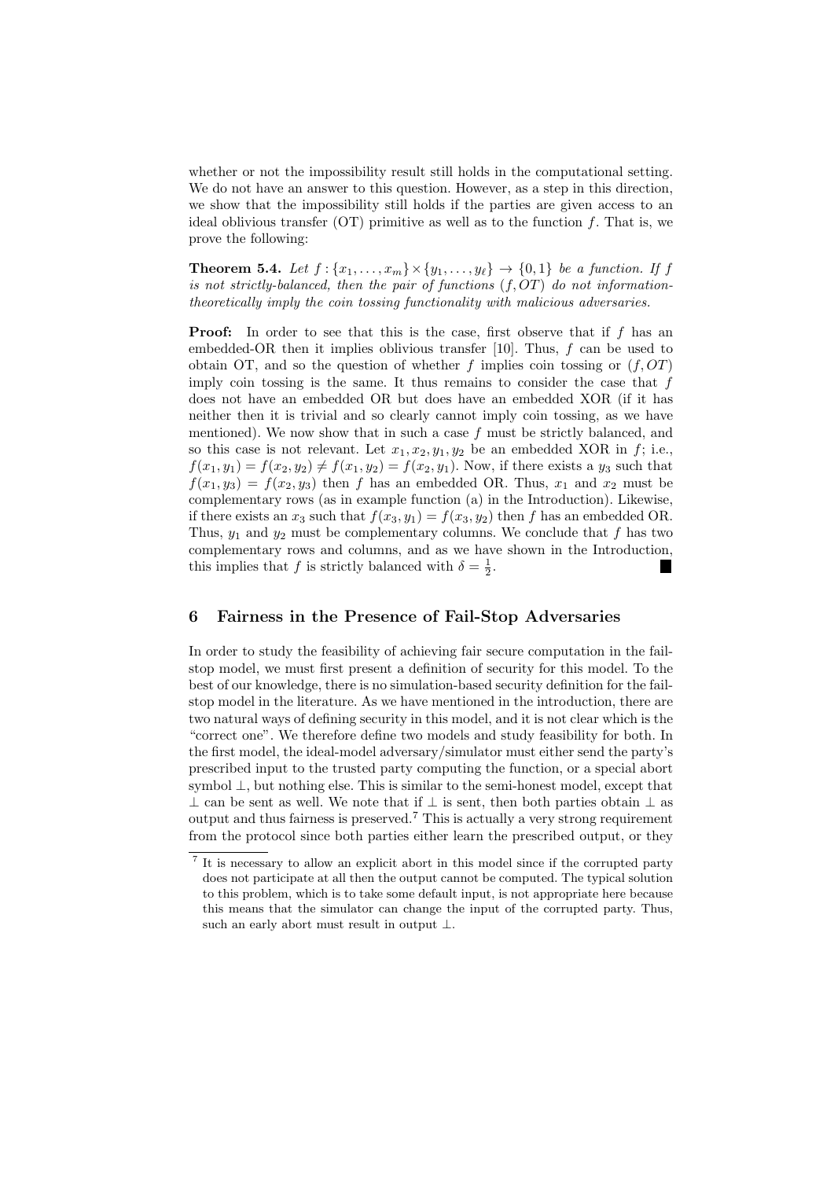whether or not the impossibility result still holds in the computational setting. We do not have an answer to this question. However, as a step in this direction, we show that the impossibility still holds if the parties are given access to an ideal oblivious transfer (OT) primitive as well as to the function  $f$ . That is, we prove the following:

**Theorem 5.4.** Let  $f: \{x_1, \ldots, x_m\} \times \{y_1, \ldots, y_\ell\} \rightarrow \{0, 1\}$  be a function. If f is not strictly-balanced, then the pair of functions  $(f, OT)$  do not informationtheoretically imply the coin tossing functionality with malicious adversaries.

**Proof:** In order to see that this is the case, first observe that if f has an embedded-OR then it implies oblivious transfer [10]. Thus, f can be used to obtain OT, and so the question of whether f implies coin tossing or  $(f, OT)$ imply coin tossing is the same. It thus remains to consider the case that  $f$ does not have an embedded OR but does have an embedded XOR (if it has neither then it is trivial and so clearly cannot imply coin tossing, as we have mentioned). We now show that in such a case  $f$  must be strictly balanced, and so this case is not relevant. Let  $x_1, x_2, y_1, y_2$  be an embedded XOR in f; i.e.,  $f(x_1, y_1) = f(x_2, y_2) \neq f(x_1, y_2) = f(x_2, y_1)$ . Now, if there exists a  $y_3$  such that  $f(x_1, y_3) = f(x_2, y_3)$  then f has an embedded OR. Thus,  $x_1$  and  $x_2$  must be complementary rows (as in example function (a) in the Introduction). Likewise, if there exists an  $x_3$  such that  $f(x_3, y_1) = f(x_3, y_2)$  then f has an embedded OR. Thus,  $y_1$  and  $y_2$  must be complementary columns. We conclude that f has two complementary rows and columns, and as we have shown in the Introduction, this implies that f is strictly balanced with  $\delta = \frac{1}{2}$ .

# 6 Fairness in the Presence of Fail-Stop Adversaries

In order to study the feasibility of achieving fair secure computation in the failstop model, we must first present a definition of security for this model. To the best of our knowledge, there is no simulation-based security definition for the failstop model in the literature. As we have mentioned in the introduction, there are two natural ways of defining security in this model, and it is not clear which is the "correct one". We therefore define two models and study feasibility for both. In the first model, the ideal-model adversary/simulator must either send the party's prescribed input to the trusted party computing the function, or a special abort symbol  $\perp$ , but nothing else. This is similar to the semi-honest model, except that  $\perp$  can be sent as well. We note that if  $\perp$  is sent, then both parties obtain  $\perp$  as output and thus fairness is preserved.<sup>7</sup> This is actually a very strong requirement from the protocol since both parties either learn the prescribed output, or they

<sup>&</sup>lt;sup>7</sup> It is necessary to allow an explicit abort in this model since if the corrupted party does not participate at all then the output cannot be computed. The typical solution to this problem, which is to take some default input, is not appropriate here because this means that the simulator can change the input of the corrupted party. Thus, such an early abort must result in output  $\bot$ .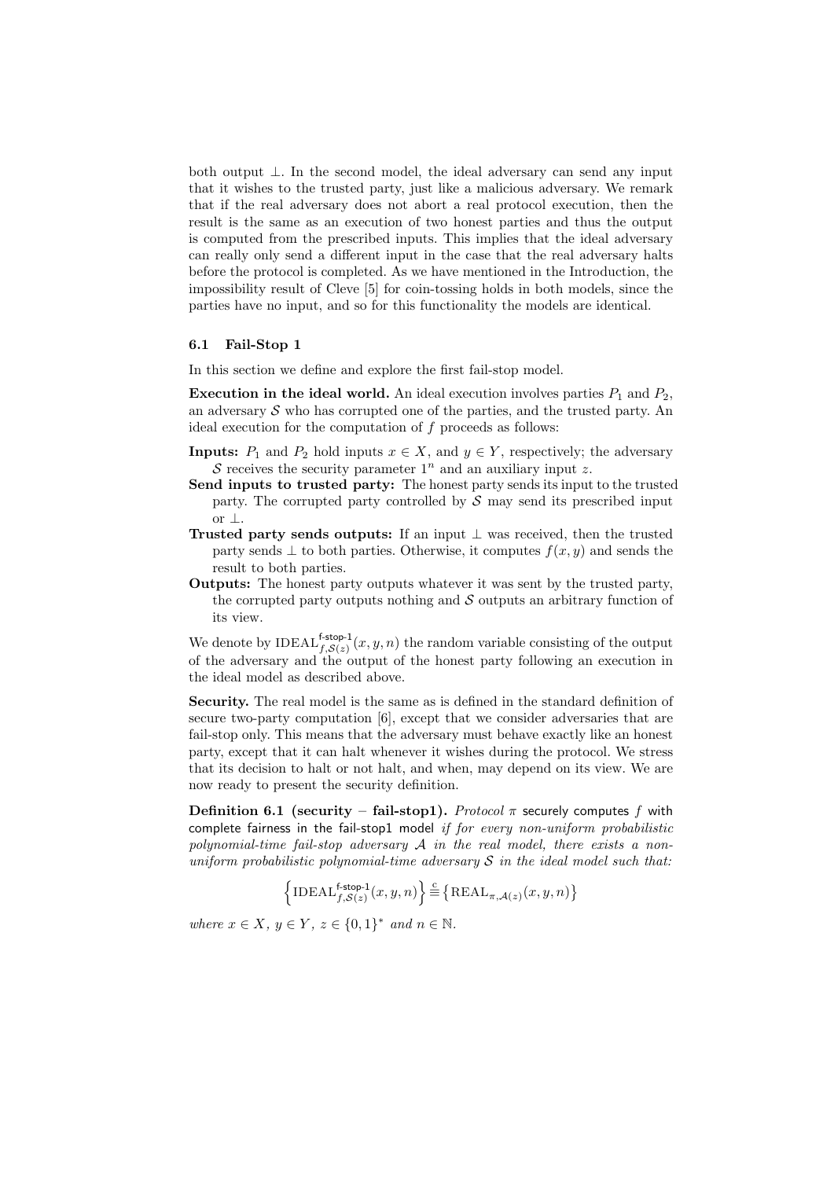both output  $\perp$ . In the second model, the ideal adversary can send any input that it wishes to the trusted party, just like a malicious adversary. We remark that if the real adversary does not abort a real protocol execution, then the result is the same as an execution of two honest parties and thus the output is computed from the prescribed inputs. This implies that the ideal adversary can really only send a different input in the case that the real adversary halts before the protocol is completed. As we have mentioned in the Introduction, the impossibility result of Cleve [5] for coin-tossing holds in both models, since the parties have no input, and so for this functionality the models are identical.

#### 6.1 Fail-Stop 1

In this section we define and explore the first fail-stop model.

**Execution in the ideal world.** An ideal execution involves parties  $P_1$  and  $P_2$ , an adversary  $S$  who has corrupted one of the parties, and the trusted party. An ideal execution for the computation of  $f$  proceeds as follows:

- **Inputs:**  $P_1$  and  $P_2$  hold inputs  $x \in X$ , and  $y \in Y$ , respectively; the adversary S receives the security parameter  $1^n$  and an auxiliary input z.
- Send inputs to trusted party: The honest party sends its input to the trusted party. The corrupted party controlled by  $\mathcal S$  may send its prescribed input or ⊥.
- Trusted party sends outputs: If an input  $\perp$  was received, then the trusted party sends  $\perp$  to both parties. Otherwise, it computes  $f(x, y)$  and sends the result to both parties.
- Outputs: The honest party outputs whatever it was sent by the trusted party, the corrupted party outputs nothing and  $\mathcal S$  outputs an arbitrary function of its view.

We denote by IDEAL<sup>f-stop-1</sup> $(x, y, n)$  the random variable consisting of the output of the adversary and the output of the honest party following an execution in the ideal model as described above.

Security. The real model is the same as is defined in the standard definition of secure two-party computation [6], except that we consider adversaries that are fail-stop only. This means that the adversary must behave exactly like an honest party, except that it can halt whenever it wishes during the protocol. We stress that its decision to halt or not halt, and when, may depend on its view. We are now ready to present the security definition.

Definition 6.1 (security – fail-stop1). Protocol  $\pi$  securely computes f with complete fairness in the fail-stop1 model if for every non-uniform probabilistic polynomial-time fail-stop adversary  $A$  in the real model, there exists a nonuniform probabilistic polynomial-time adversary  $S$  in the ideal model such that:

$$
\Big\{\mathrm{IDEAL}_{f,\mathcal{S}(z)}^{\mathsf{f}\text{-}\mathrm{stop}\text{-}1}(x,y,n)\Big\} \mathbin{\stackrel{\scriptscriptstyle\triangle}{=}} \big\{\mathrm{REAL}_{\pi,\mathcal{A}(z)}(x,y,n)\big\}
$$

where  $x \in X$ ,  $y \in Y$ ,  $z \in \{0,1\}^*$  and  $n \in \mathbb{N}$ .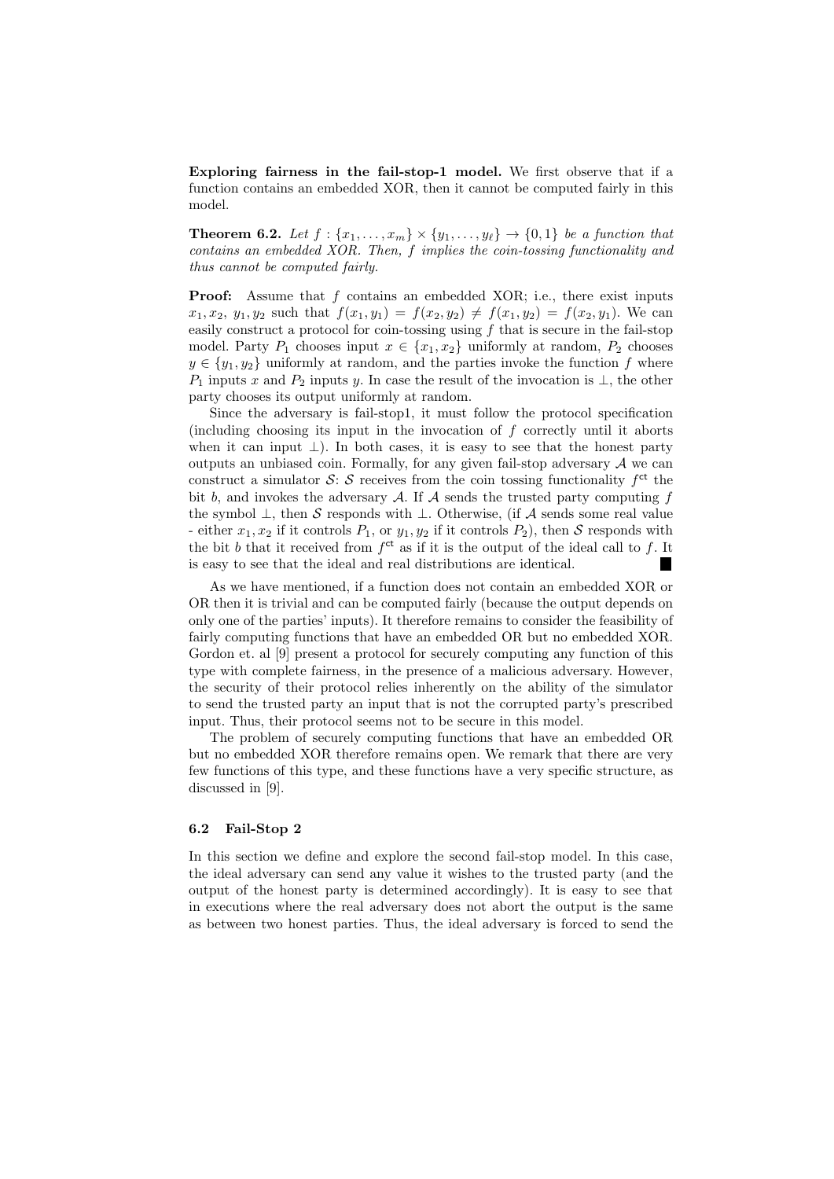Exploring fairness in the fail-stop-1 model. We first observe that if a function contains an embedded XOR, then it cannot be computed fairly in this model.

**Theorem 6.2.** Let  $f : \{x_1, \ldots, x_m\} \times \{y_1, \ldots, y_\ell\} \rightarrow \{0, 1\}$  be a function that contains an embedded XOR. Then, f implies the coin-tossing functionality and thus cannot be computed fairly.

**Proof:** Assume that  $f$  contains an embedded XOR; i.e., there exist inputs  $x_1, x_2, y_1, y_2$  such that  $f(x_1, y_1) = f(x_2, y_2) \neq f(x_1, y_2) = f(x_2, y_1)$ . We can easily construct a protocol for coin-tossing using  $f$  that is secure in the fail-stop model. Party  $P_1$  chooses input  $x \in \{x_1, x_2\}$  uniformly at random,  $P_2$  chooses  $y \in \{y_1, y_2\}$  uniformly at random, and the parties invoke the function f where  $P_1$  inputs x and  $P_2$  inputs y. In case the result of the invocation is  $\perp$ , the other party chooses its output uniformly at random.

Since the adversary is fail-stop1, it must follow the protocol specification (including choosing its input in the invocation of f correctly until it aborts when it can input  $\perp$ ). In both cases, it is easy to see that the honest party outputs an unbiased coin. Formally, for any given fail-stop adversary  $A$  we can construct a simulator S: S receives from the coin tossing functionality  $f<sup>ct</sup>$  the bit b, and invokes the adversary  $A$ . If  $A$  sends the trusted party computing  $f$ the symbol  $\perp$ , then S responds with  $\perp$ . Otherwise, (if A sends some real value - either  $x_1, x_2$  if it controls  $P_1$ , or  $y_1, y_2$  if it controls  $P_2$ ), then S responds with the bit b that it received from  $f<sup>ct</sup>$  as if it is the output of the ideal call to f. It is easy to see that the ideal and real distributions are identical.

As we have mentioned, if a function does not contain an embedded XOR or OR then it is trivial and can be computed fairly (because the output depends on only one of the parties' inputs). It therefore remains to consider the feasibility of fairly computing functions that have an embedded OR but no embedded XOR. Gordon et. al [9] present a protocol for securely computing any function of this type with complete fairness, in the presence of a malicious adversary. However, the security of their protocol relies inherently on the ability of the simulator to send the trusted party an input that is not the corrupted party's prescribed input. Thus, their protocol seems not to be secure in this model.

The problem of securely computing functions that have an embedded OR but no embedded XOR therefore remains open. We remark that there are very few functions of this type, and these functions have a very specific structure, as discussed in [9].

## 6.2 Fail-Stop 2

In this section we define and explore the second fail-stop model. In this case, the ideal adversary can send any value it wishes to the trusted party (and the output of the honest party is determined accordingly). It is easy to see that in executions where the real adversary does not abort the output is the same as between two honest parties. Thus, the ideal adversary is forced to send the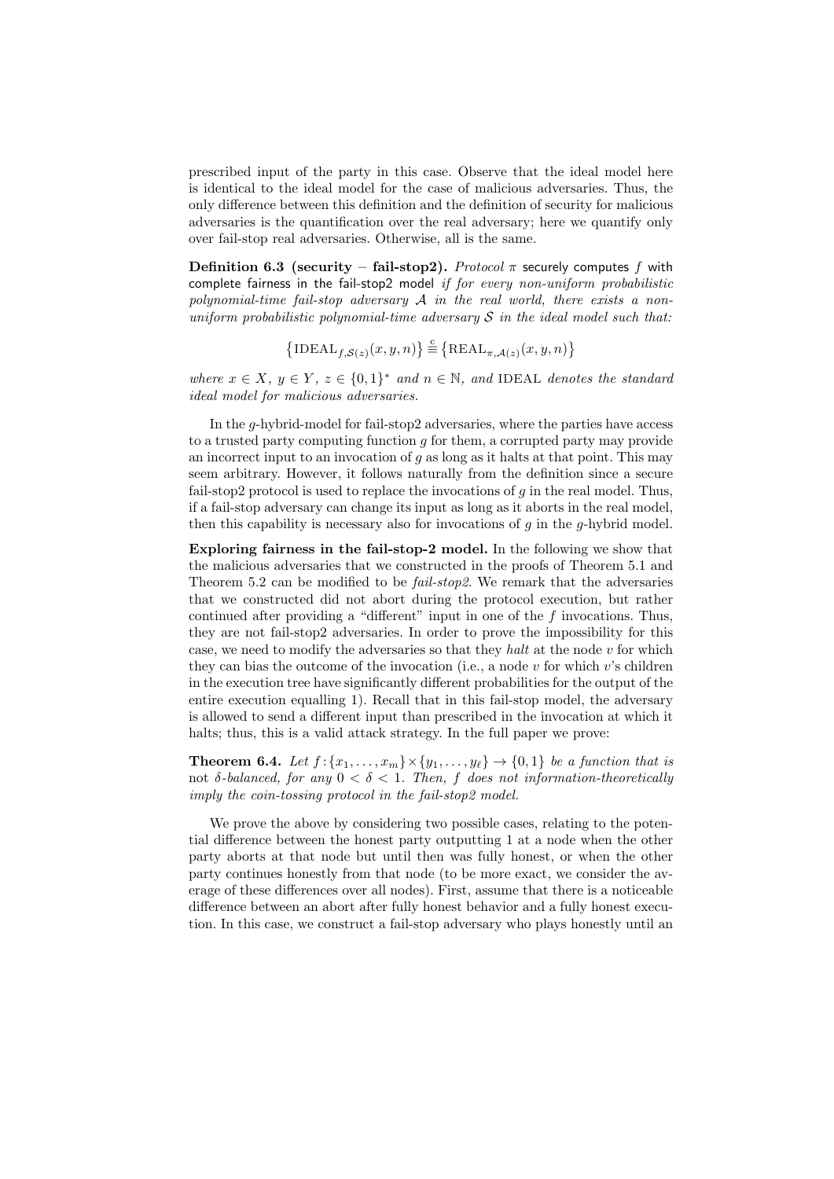prescribed input of the party in this case. Observe that the ideal model here is identical to the ideal model for the case of malicious adversaries. Thus, the only difference between this definition and the definition of security for malicious adversaries is the quantification over the real adversary; here we quantify only over fail-stop real adversaries. Otherwise, all is the same.

Definition 6.3 (security – fail-stop2). Protocol  $\pi$  securely computes f with complete fairness in the fail-stop2 model if for every non-uniform probabilistic polynomial-time fail-stop adversary  $A$  in the real world, there exists a nonuniform probabilistic polynomial-time adversary  $S$  in the ideal model such that:

$$
\big\{\text{IDEAL}_{f,\mathcal{S}(z)}(x,y,n)\big\} \stackrel{\text{c}}{=} \big\{\text{REAL}_{\pi,\mathcal{A}(z)}(x,y,n)\big\}
$$

where  $x \in X$ ,  $y \in Y$ ,  $z \in \{0,1\}^*$  and  $n \in \mathbb{N}$ , and IDEAL denotes the standard ideal model for malicious adversaries.

In the g-hybrid-model for fail-stop2 adversaries, where the parties have access to a trusted party computing function  $q$  for them, a corrupted party may provide an incorrect input to an invocation of  $g$  as long as it halts at that point. This may seem arbitrary. However, it follows naturally from the definition since a secure fail-stop2 protocol is used to replace the invocations of  $q$  in the real model. Thus, if a fail-stop adversary can change its input as long as it aborts in the real model, then this capability is necessary also for invocations of  $q$  in the  $q$ -hybrid model.

Exploring fairness in the fail-stop-2 model. In the following we show that the malicious adversaries that we constructed in the proofs of Theorem 5.1 and Theorem 5.2 can be modified to be *fail-stop2*. We remark that the adversaries that we constructed did not abort during the protocol execution, but rather continued after providing a "different" input in one of the  $f$  invocations. Thus, they are not fail-stop2 adversaries. In order to prove the impossibility for this case, we need to modify the adversaries so that they halt at the node  $v$  for which they can bias the outcome of the invocation (i.e., a node  $v$  for which  $v$ 's children in the execution tree have significantly different probabilities for the output of the entire execution equalling 1). Recall that in this fail-stop model, the adversary is allowed to send a different input than prescribed in the invocation at which it halts; thus, this is a valid attack strategy. In the full paper we prove:

**Theorem 6.4.** Let  $f: \{x_1, \ldots, x_m\} \times \{y_1, \ldots, y_\ell\} \rightarrow \{0, 1\}$  be a function that is not δ-balanced, for any  $0 < δ < 1$ . Then, f does not information-theoretically imply the coin-tossing protocol in the fail-stop2 model.

We prove the above by considering two possible cases, relating to the potential difference between the honest party outputting 1 at a node when the other party aborts at that node but until then was fully honest, or when the other party continues honestly from that node (to be more exact, we consider the average of these differences over all nodes). First, assume that there is a noticeable difference between an abort after fully honest behavior and a fully honest execution. In this case, we construct a fail-stop adversary who plays honestly until an